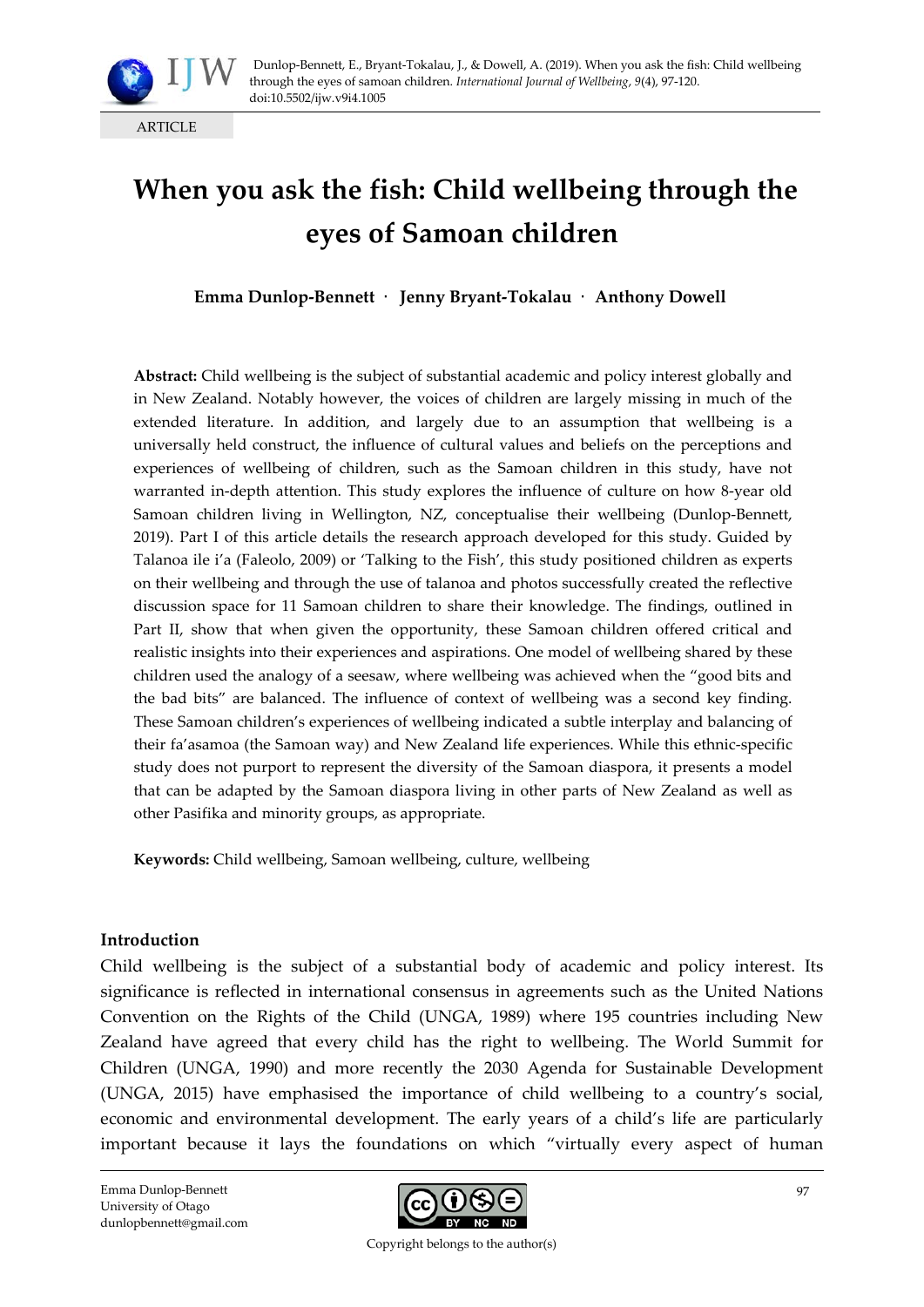

# **When you ask the fish: Child wellbeing through the eyes of Samoan children**

**Emma Dunlop-Bennett** · **Jenny Bryant-Tokalau** · **Anthony Dowell**

**Abstract:** Child wellbeing is the subject of substantial academic and policy interest globally and in New Zealand. Notably however, the voices of children are largely missing in much of the extended literature. In addition, and largely due to an assumption that wellbeing is a universally held construct, the influence of cultural values and beliefs on the perceptions and experiences of wellbeing of children, such as the Samoan children in this study, have not warranted in-depth attention. This study explores the influence of culture on how 8-year old Samoan children living in Wellington, NZ, conceptualise their wellbeing (Dunlop-Bennett, 2019). Part I of this article details the research approach developed for this study. Guided by Talanoa ile i'a (Faleolo, 2009) or 'Talking to the Fish', this study positioned children as experts on their wellbeing and through the use of talanoa and photos successfully created the reflective discussion space for 11 Samoan children to share their knowledge. The findings, outlined in Part II, show that when given the opportunity, these Samoan children offered critical and realistic insights into their experiences and aspirations. One model of wellbeing shared by these children used the analogy of a seesaw, where wellbeing was achieved when the "good bits and the bad bits" are balanced. The influence of context of wellbeing was a second key finding. These Samoan children's experiences of wellbeing indicated a subtle interplay and balancing of their fa'asamoa (the Samoan way) and New Zealand life experiences. While this ethnic-specific study does not purport to represent the diversity of the Samoan diaspora, it presents a model that can be adapted by the Samoan diaspora living in other parts of New Zealand as well as other Pasifika and minority groups, as appropriate.

**Keywords:** Child wellbeing, Samoan wellbeing, culture, wellbeing

#### **Introduction**

Child wellbeing is the subject of a substantial body of academic and policy interest. Its significance is reflected in international consensus in agreements such as the United Nations Convention on the Rights of the Child (UNGA, 1989) where 195 countries including New Zealand have agreed that every child has the right to wellbeing. The World Summit for Children (UNGA, 1990) and more recently the 2030 Agenda for Sustainable Development (UNGA, 2015) have emphasised the importance of child wellbeing to a country's social, economic and environmental development. The early years of a child's life are particularly important because it lays the foundations on which "virtually every aspect of human

Emma Dunlop-Bennett University of Otago dunlopbennett@gmail.com

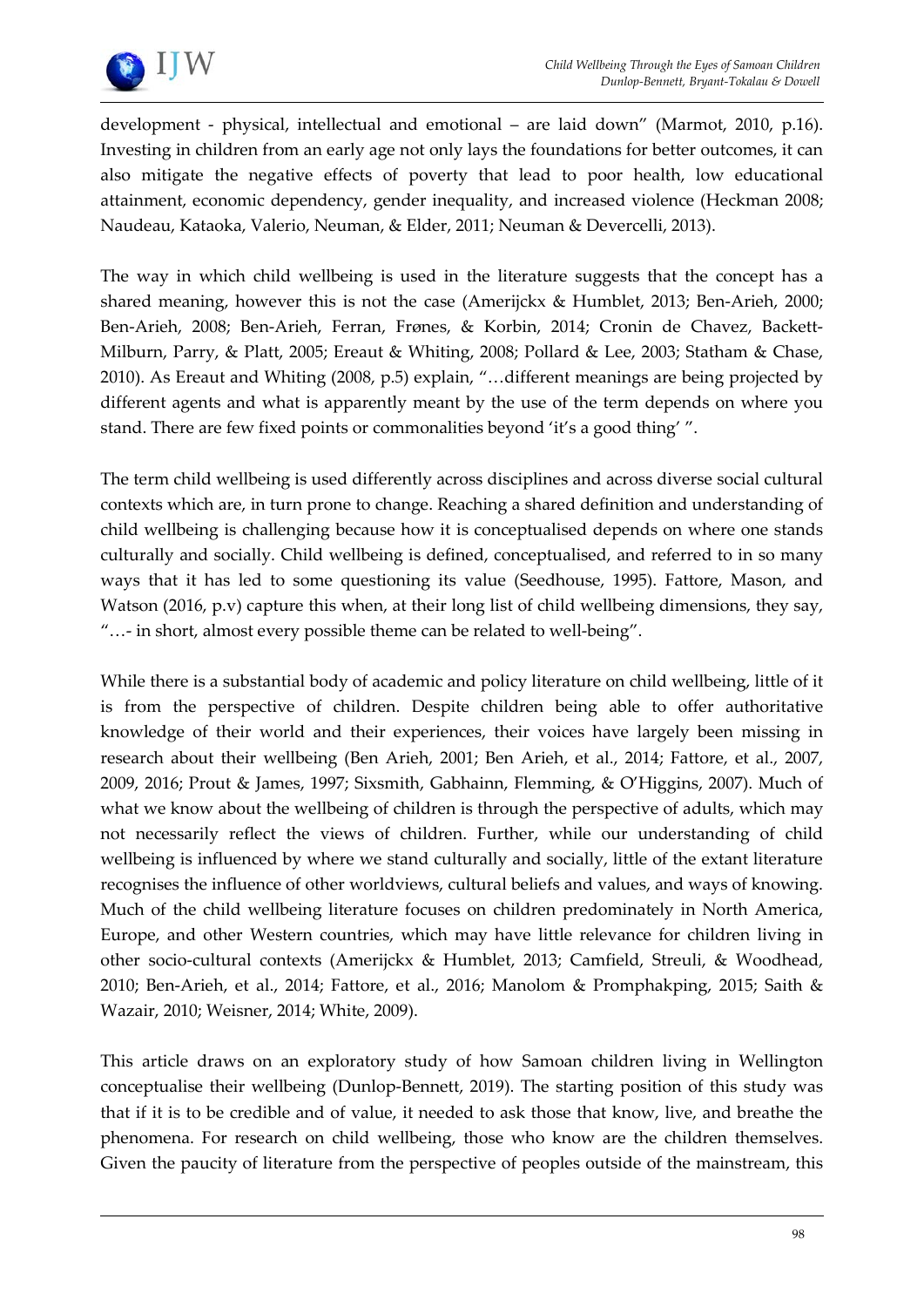

development - physical, intellectual and emotional – are laid down" (Marmot, 2010, p.16). Investing in children from an early age not only lays the foundations for better outcomes, it can also mitigate the negative effects of poverty that lead to poor health, low educational attainment, economic dependency, gender inequality, and increased violence (Heckman 2008; Naudeau, Kataoka, Valerio, Neuman, & Elder, 2011; Neuman & Devercelli, 2013).

The way in which child wellbeing is used in the literature suggests that the concept has a shared meaning, however this is not the case (Amerijckx & Humblet, 2013; Ben-Arieh, 2000; Ben-Arieh, 2008; Ben-Arieh, Ferran, Frønes, & Korbin, 2014; Cronin de Chavez, Backett-Milburn, Parry, & Platt, 2005; Ereaut & Whiting, 2008; Pollard & Lee, 2003; Statham & Chase, 2010). As Ereaut and Whiting (2008, p.5) explain, "…different meanings are being projected by different agents and what is apparently meant by the use of the term depends on where you stand. There are few fixed points or commonalities beyond 'it's a good thing' ".

The term child wellbeing is used differently across disciplines and across diverse social cultural contexts which are, in turn prone to change. Reaching a shared definition and understanding of child wellbeing is challenging because how it is conceptualised depends on where one stands culturally and socially. Child wellbeing is defined, conceptualised, and referred to in so many ways that it has led to some questioning its value (Seedhouse, 1995). Fattore, Mason, and Watson (2016, p.v) capture this when, at their long list of child wellbeing dimensions, they say, "…- in short, almost every possible theme can be related to well-being".

While there is a substantial body of academic and policy literature on child wellbeing, little of it is from the perspective of children. Despite children being able to offer authoritative knowledge of their world and their experiences, their voices have largely been missing in research about their wellbeing (Ben Arieh, 2001; Ben Arieh, et al., 2014; Fattore, et al., 2007, 2009, 2016; Prout & James, 1997; Sixsmith, Gabhainn, Flemming, & O'Higgins, 2007). Much of what we know about the wellbeing of children is through the perspective of adults, which may not necessarily reflect the views of children. Further, while our understanding of child wellbeing is influenced by where we stand culturally and socially, little of the extant literature recognises the influence of other worldviews, cultural beliefs and values, and ways of knowing. Much of the child wellbeing literature focuses on children predominately in North America, Europe, and other Western countries, which may have little relevance for children living in other socio-cultural contexts (Amerijckx & Humblet, 2013; Camfield, Streuli, & Woodhead, 2010; Ben-Arieh, et al., 2014; Fattore, et al., 2016; Manolom & Promphakping, 2015; Saith & Wazair, 2010; Weisner, 2014; White, 2009).

This article draws on an exploratory study of how Samoan children living in Wellington conceptualise their wellbeing (Dunlop-Bennett, 2019). The starting position of this study was that if it is to be credible and of value, it needed to ask those that know, live, and breathe the phenomena. For research on child wellbeing, those who know are the children themselves. Given the paucity of literature from the perspective of peoples outside of the mainstream, this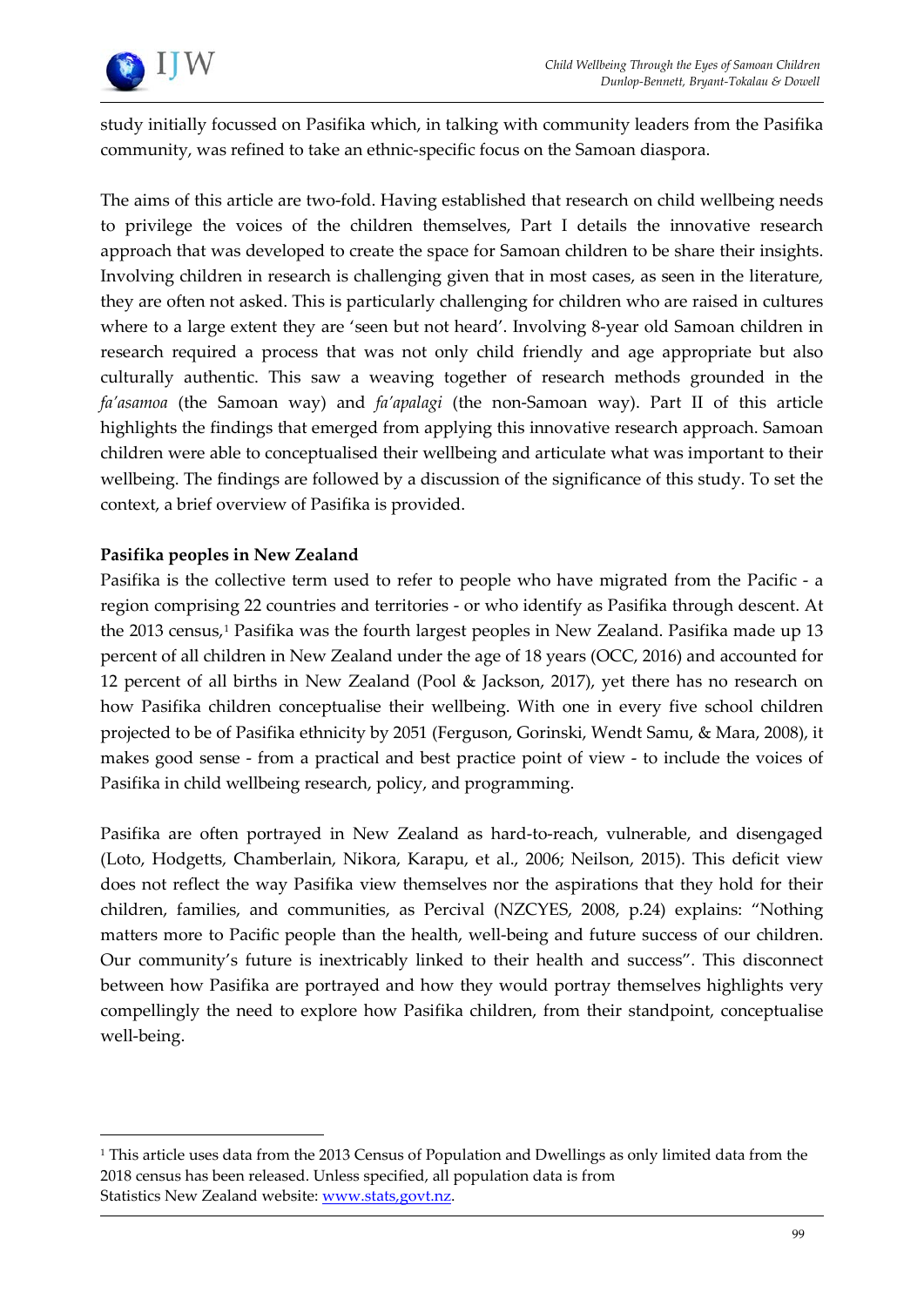

study initially focussed on Pasifika which, in talking with community leaders from the Pasifika community, was refined to take an ethnic-specific focus on the Samoan diaspora.

The aims of this article are two-fold. Having established that research on child wellbeing needs to privilege the voices of the children themselves, Part I details the innovative research approach that was developed to create the space for Samoan children to be share their insights. Involving children in research is challenging given that in most cases, as seen in the literature, they are often not asked. This is particularly challenging for children who are raised in cultures where to a large extent they are 'seen but not heard'. Involving 8-year old Samoan children in research required a process that was not only child friendly and age appropriate but also culturally authentic. This saw a weaving together of research methods grounded in the *fa'asamoa* (the Samoan way) and *fa'apalagi* (the non-Samoan way). Part II of this article highlights the findings that emerged from applying this innovative research approach. Samoan children were able to conceptualised their wellbeing and articulate what was important to their wellbeing. The findings are followed by a discussion of the significance of this study. To set the context, a brief overview of Pasifika is provided.

# **Pasifika peoples in New Zealand**

 $\overline{a}$ 

Pasifika is the collective term used to refer to people who have migrated from the Pacific - a region comprising 22 countries and territories - or who identify as Pasifika through descent. At the 2013 census,<sup>1</sup> Pasifika was the fourth largest peoples in New Zealand. Pasifika made up 13 percent of all children in New Zealand under the age of 18 years (OCC, 2016) and accounted for 12 percent of all births in New Zealand (Pool & Jackson, 2017), yet there has no research on how Pasifika children conceptualise their wellbeing. With one in every five school children projected to be of Pasifika ethnicity by 2051 (Ferguson, Gorinski, Wendt Samu, & Mara, 2008), it makes good sense - from a practical and best practice point of view - to include the voices of Pasifika in child wellbeing research, policy, and programming.

Pasifika are often portrayed in New Zealand as hard-to-reach, vulnerable, and disengaged (Loto, Hodgetts, Chamberlain, Nikora, Karapu, et al., 2006; Neilson, 2015). This deficit view does not reflect the way Pasifika view themselves nor the aspirations that they hold for their children, families, and communities, as Percival (NZCYES, 2008, p.24) explains: "Nothing matters more to Pacific people than the health, well-being and future success of our children. Our community's future is inextricably linked to their health and success". This disconnect between how Pasifika are portrayed and how they would portray themselves highlights very compellingly the need to explore how Pasifika children, from their standpoint, conceptualise well-being.

<span id="page-2-0"></span><sup>1</sup> This article uses data from the 2013 Census of Population and Dwellings as only limited data from the 2018 census has been released. Unless specified, all population data is from Statistics New Zealand website: www.stats.govt.nz.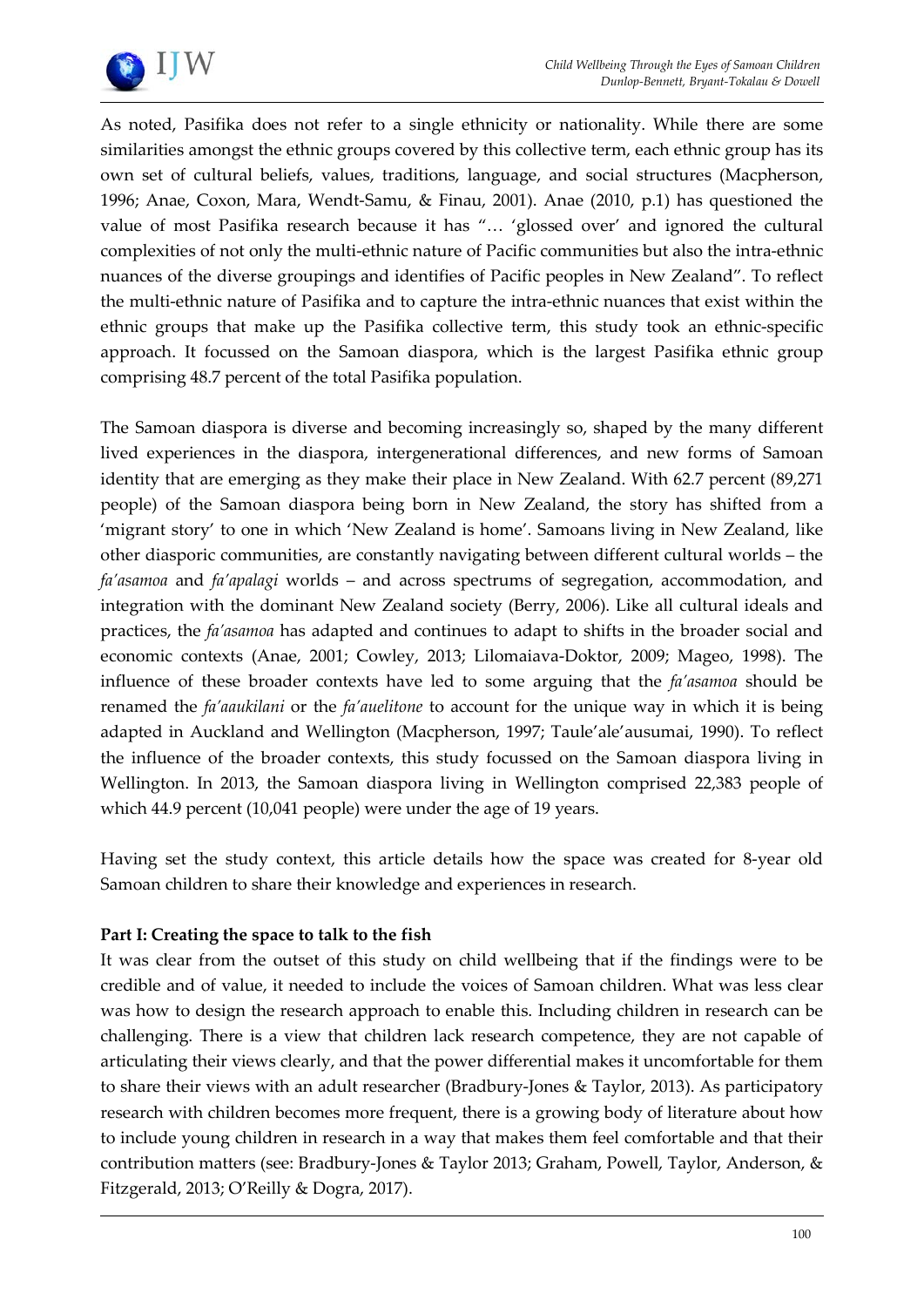

As noted, Pasifika does not refer to a single ethnicity or nationality. While there are some similarities amongst the ethnic groups covered by this collective term, each ethnic group has its own set of cultural beliefs, values, traditions, language, and social structures (Macpherson, 1996; Anae, Coxon, Mara, Wendt-Samu, & Finau, 2001). Anae (2010, p.1) has questioned the value of most Pasifika research because it has "… 'glossed over' and ignored the cultural complexities of not only the multi-ethnic nature of Pacific communities but also the intra-ethnic nuances of the diverse groupings and identifies of Pacific peoples in New Zealand". To reflect the multi-ethnic nature of Pasifika and to capture the intra-ethnic nuances that exist within the ethnic groups that make up the Pasifika collective term, this study took an ethnic-specific approach. It focussed on the Samoan diaspora, which is the largest Pasifika ethnic group comprising 48.7 percent of the total Pasifika population.

The Samoan diaspora is diverse and becoming increasingly so, shaped by the many different lived experiences in the diaspora, intergenerational differences, and new forms of Samoan identity that are emerging as they make their place in New Zealand. With 62.7 percent (89,271 people) of the Samoan diaspora being born in New Zealand, the story has shifted from a 'migrant story' to one in which 'New Zealand is home'. Samoans living in New Zealand, like other diasporic communities, are constantly navigating between different cultural worlds – the *fa'asamoa* and *fa'apalagi* worlds – and across spectrums of segregation, accommodation, and integration with the dominant New Zealand society (Berry, 2006). Like all cultural ideals and practices, the *fa'asamoa* has adapted and continues to adapt to shifts in the broader social and economic contexts (Anae, 2001; Cowley, 2013; Lilomaiava-Doktor, 2009; Mageo, 1998). The influence of these broader contexts have led to some arguing that the *fa'asamoa* should be renamed the *fa'aaukilani* or the *fa'auelitone* to account for the unique way in which it is being adapted in Auckland and Wellington (Macpherson, 1997; Taule'ale'ausumai, 1990). To reflect the influence of the broader contexts, this study focussed on the Samoan diaspora living in Wellington. In 2013, the Samoan diaspora living in Wellington comprised 22,383 people of which 44.9 percent (10,041 people) were under the age of 19 years.

Having set the study context, this article details how the space was created for 8-year old Samoan children to share their knowledge and experiences in research.

# **Part I: Creating the space to talk to the fish**

It was clear from the outset of this study on child wellbeing that if the findings were to be credible and of value, it needed to include the voices of Samoan children. What was less clear was how to design the research approach to enable this. Including children in research can be challenging. There is a view that children lack research competence, they are not capable of articulating their views clearly, and that the power differential makes it uncomfortable for them to share their views with an adult researcher (Bradbury-Jones & Taylor, 2013). As participatory research with children becomes more frequent, there is a growing body of literature about how to include young children in research in a way that makes them feel comfortable and that their contribution matters (see: Bradbury-Jones & Taylor 2013; Graham, Powell, Taylor, Anderson, & Fitzgerald, 2013; O'Reilly & Dogra, 2017).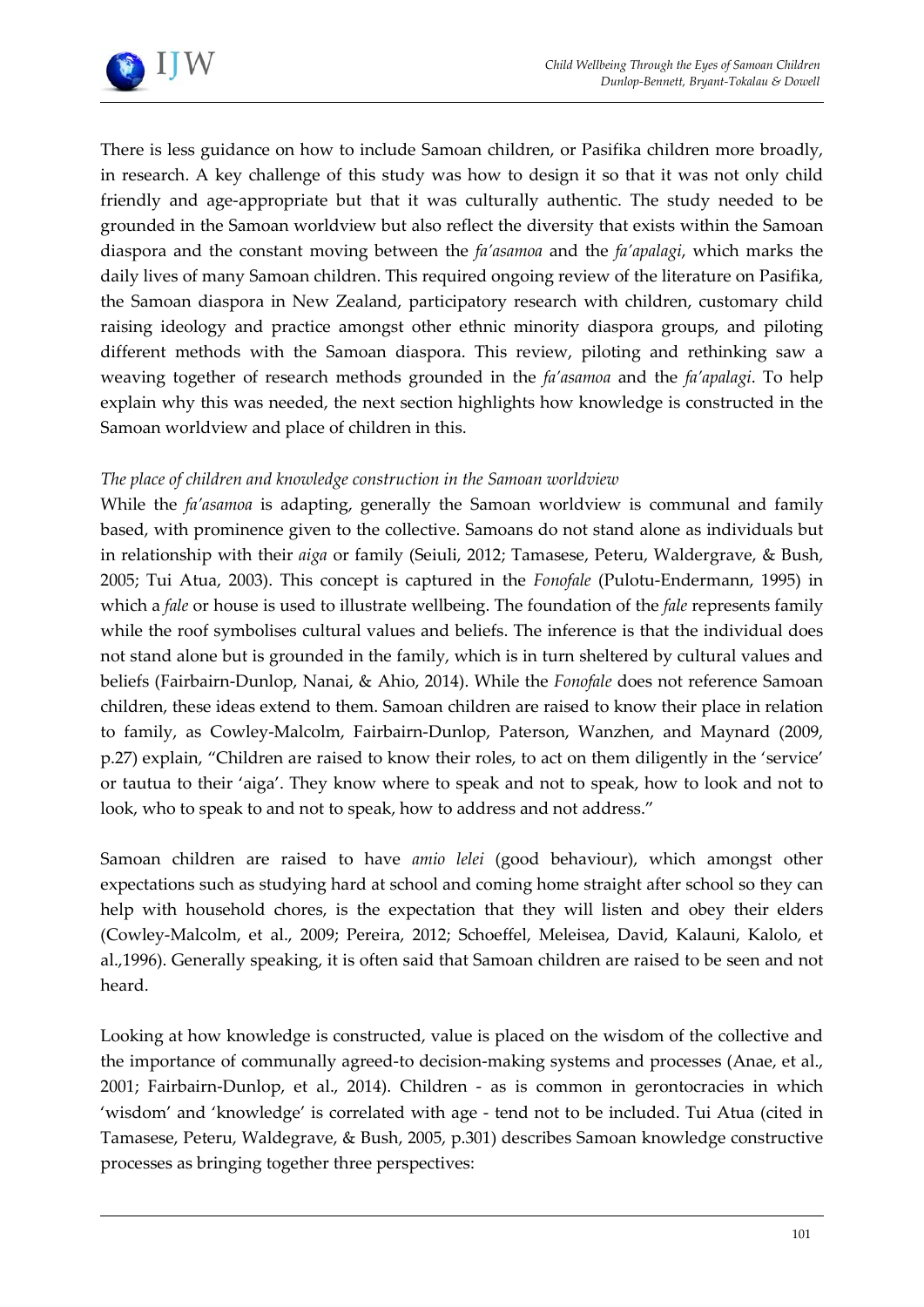

There is less guidance on how to include Samoan children, or Pasifika children more broadly, in research. A key challenge of this study was how to design it so that it was not only child friendly and age-appropriate but that it was culturally authentic. The study needed to be grounded in the Samoan worldview but also reflect the diversity that exists within the Samoan diaspora and the constant moving between the *fa'asamoa* and the *fa'apalagi*, which marks the daily lives of many Samoan children. This required ongoing review of the literature on Pasifika, the Samoan diaspora in New Zealand, participatory research with children, customary child raising ideology and practice amongst other ethnic minority diaspora groups, and piloting different methods with the Samoan diaspora. This review, piloting and rethinking saw a weaving together of research methods grounded in the *fa'asamoa* and the *fa'apalagi*. To help explain why this was needed, the next section highlights how knowledge is constructed in the Samoan worldview and place of children in this.

# *The place of children and knowledge construction in the Samoan worldview*

While the *fa'asamoa* is adapting, generally the Samoan worldview is communal and family based, with prominence given to the collective. Samoans do not stand alone as individuals but in relationship with their *aiga* or family (Seiuli, 2012; Tamasese, Peteru, Waldergrave, & Bush, 2005; Tui Atua, 2003). This concept is captured in the *Fonofale* (Pulotu-Endermann, 1995) in which a *fale* or house is used to illustrate wellbeing. The foundation of the *fale* represents family while the roof symbolises cultural values and beliefs. The inference is that the individual does not stand alone but is grounded in the family, which is in turn sheltered by cultural values and beliefs (Fairbairn-Dunlop, Nanai, & Ahio, 2014). While the *Fonofale* does not reference Samoan children, these ideas extend to them. Samoan children are raised to know their place in relation to family, as Cowley-Malcolm, Fairbairn-Dunlop, Paterson, Wanzhen, and Maynard (2009, p.27) explain, "Children are raised to know their roles, to act on them diligently in the 'service' or tautua to their 'aiga'. They know where to speak and not to speak, how to look and not to look, who to speak to and not to speak, how to address and not address."

Samoan children are raised to have *amio lelei* (good behaviour), which amongst other expectations such as studying hard at school and coming home straight after school so they can help with household chores, is the expectation that they will listen and obey their elders (Cowley-Malcolm, et al., 2009; Pereira, 2012; Schoeffel, Meleisea, David, Kalauni, Kalolo, et al.,1996). Generally speaking, it is often said that Samoan children are raised to be seen and not heard.

Looking at how knowledge is constructed, value is placed on the wisdom of the collective and the importance of communally agreed-to decision-making systems and processes (Anae, et al., 2001; Fairbairn-Dunlop, et al., 2014). Children - as is common in gerontocracies in which 'wisdom' and 'knowledge' is correlated with age - tend not to be included. Tui Atua (cited in Tamasese, Peteru, Waldegrave, & Bush, 2005, p.301) describes Samoan knowledge constructive processes as bringing together three perspectives: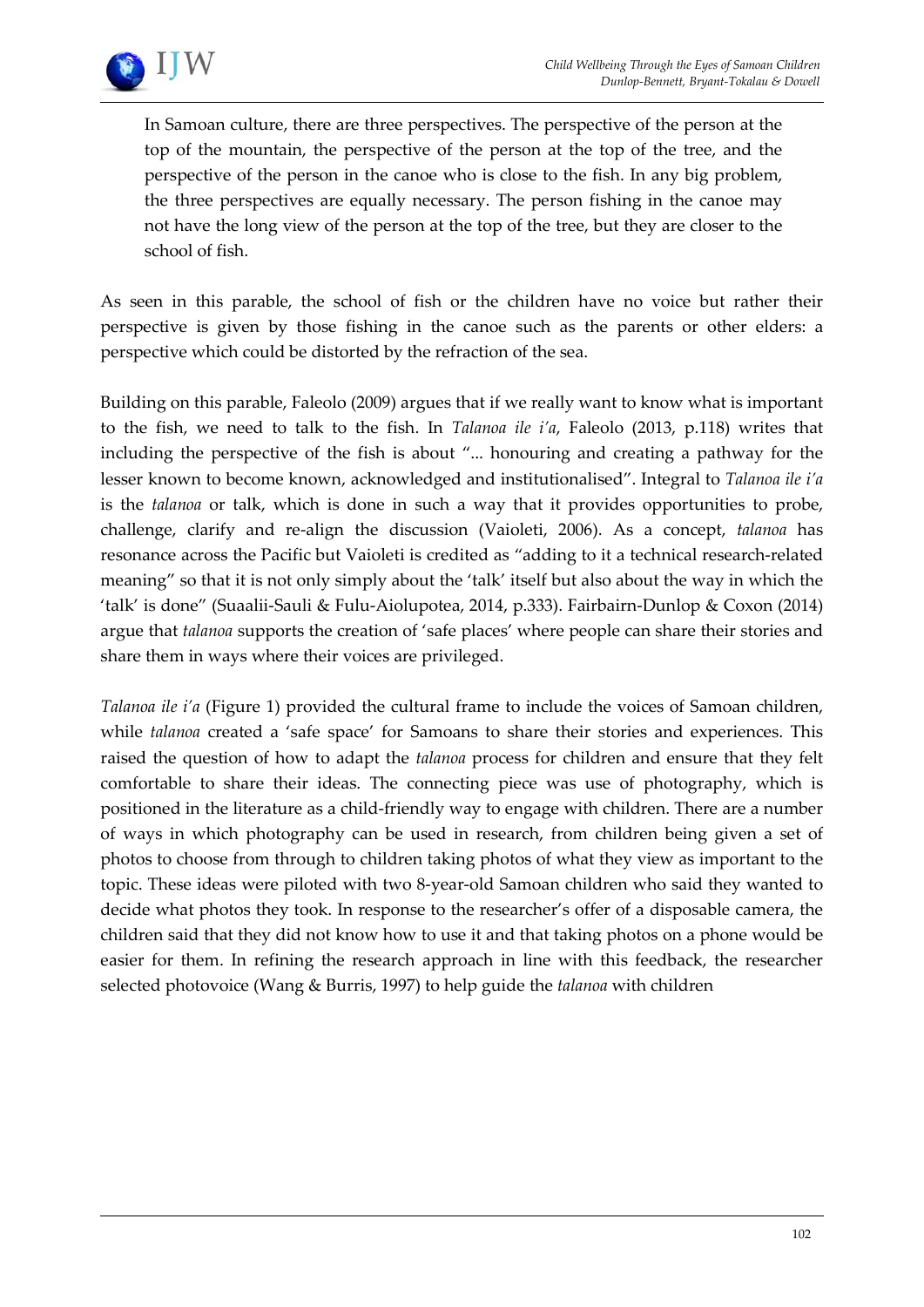

In Samoan culture, there are three perspectives. The perspective of the person at the top of the mountain, the perspective of the person at the top of the tree, and the perspective of the person in the canoe who is close to the fish. In any big problem, the three perspectives are equally necessary. The person fishing in the canoe may not have the long view of the person at the top of the tree, but they are closer to the school of fish.

As seen in this parable, the school of fish or the children have no voice but rather their perspective is given by those fishing in the canoe such as the parents or other elders: a perspective which could be distorted by the refraction of the sea.

Building on this parable, Faleolo (2009) argues that if we really want to know what is important to the fish, we need to talk to the fish. In *Talanoa ile i'a*, Faleolo (2013, p.118) writes that including the perspective of the fish is about "... honouring and creating a pathway for the lesser known to become known, acknowledged and institutionalised". Integral to *Talanoa ile i'a* is the *talanoa* or talk, which is done in such a way that it provides opportunities to probe, challenge, clarify and re-align the discussion (Vaioleti, 2006). As a concept, *talanoa* has resonance across the Pacific but Vaioleti is credited as "adding to it a technical research-related meaning" so that it is not only simply about the 'talk' itself but also about the way in which the 'talk' is done" (Suaalii-Sauli & Fulu-Aiolupotea, 2014, p.333). Fairbairn-Dunlop & Coxon (2014) argue that *talanoa* supports the creation of 'safe places' where people can share their stories and share them in ways where their voices are privileged.

*Talanoa ile i'a* (Figure 1) provided the cultural frame to include the voices of Samoan children, while *talanoa* created a 'safe space' for Samoans to share their stories and experiences. This raised the question of how to adapt the *talanoa* process for children and ensure that they felt comfortable to share their ideas. The connecting piece was use of photography, which is positioned in the literature as a child-friendly way to engage with children. There are a number of ways in which photography can be used in research, from children being given a set of photos to choose from through to children taking photos of what they view as important to the topic. These ideas were piloted with two 8-year-old Samoan children who said they wanted to decide what photos they took. In response to the researcher's offer of a disposable camera, the children said that they did not know how to use it and that taking photos on a phone would be easier for them. In refining the research approach in line with this feedback, the researcher selected photovoice (Wang & Burris, 1997) to help guide the *talanoa* with children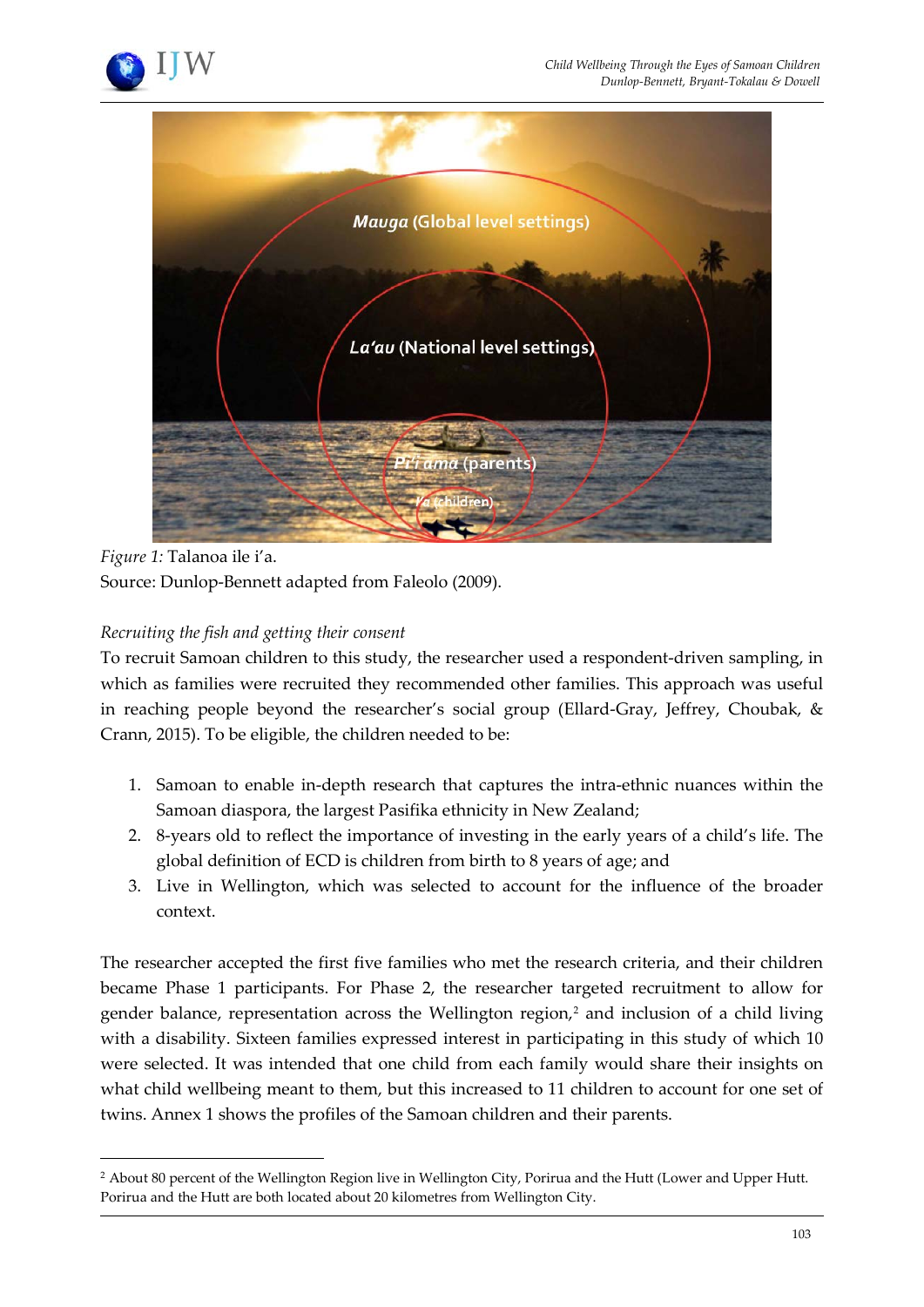



*Figure 1:* Talanoa ile i'a.

 $\overline{a}$ 

Source: Dunlop-Bennett adapted from Faleolo (2009).

# *Recruiting the fish and getting their consent*

To recruit Samoan children to this study, the researcher used a respondent-driven sampling, in which as families were recruited they recommended other families. This approach was useful in reaching people beyond the researcher's social group (Ellard-Gray, Jeffrey, Choubak, & Crann, 2015). To be eligible, the children needed to be:

- 1. Samoan to enable in-depth research that captures the intra-ethnic nuances within the Samoan diaspora, the largest Pasifika ethnicity in New Zealand;
- 2. 8-years old to reflect the importance of investing in the early years of a child's life. The global definition of ECD is children from birth to 8 years of age; and
- 3. Live in Wellington, which was selected to account for the influence of the broader context.

The researcher accepted the first five families who met the research criteria, and their children became Phase 1 participants. For Phase 2, the researcher targeted recruitment to allow for gender balance, representation across the Wellington region, $2$  and inclusion of a child living with a disability. Sixteen families expressed interest in participating in this study of which 10 were selected. It was intended that one child from each family would share their insights on what child wellbeing meant to them, but this increased to 11 children to account for one set of twins. Annex 1 shows the profiles of the Samoan children and their parents.

<span id="page-6-0"></span><sup>&</sup>lt;sup>2</sup> About 80 percent of the Wellington Region live in Wellington City, Porirua and the Hutt (Lower and Upper Hutt. Porirua and the Hutt are both located about 20 kilometres from Wellington City.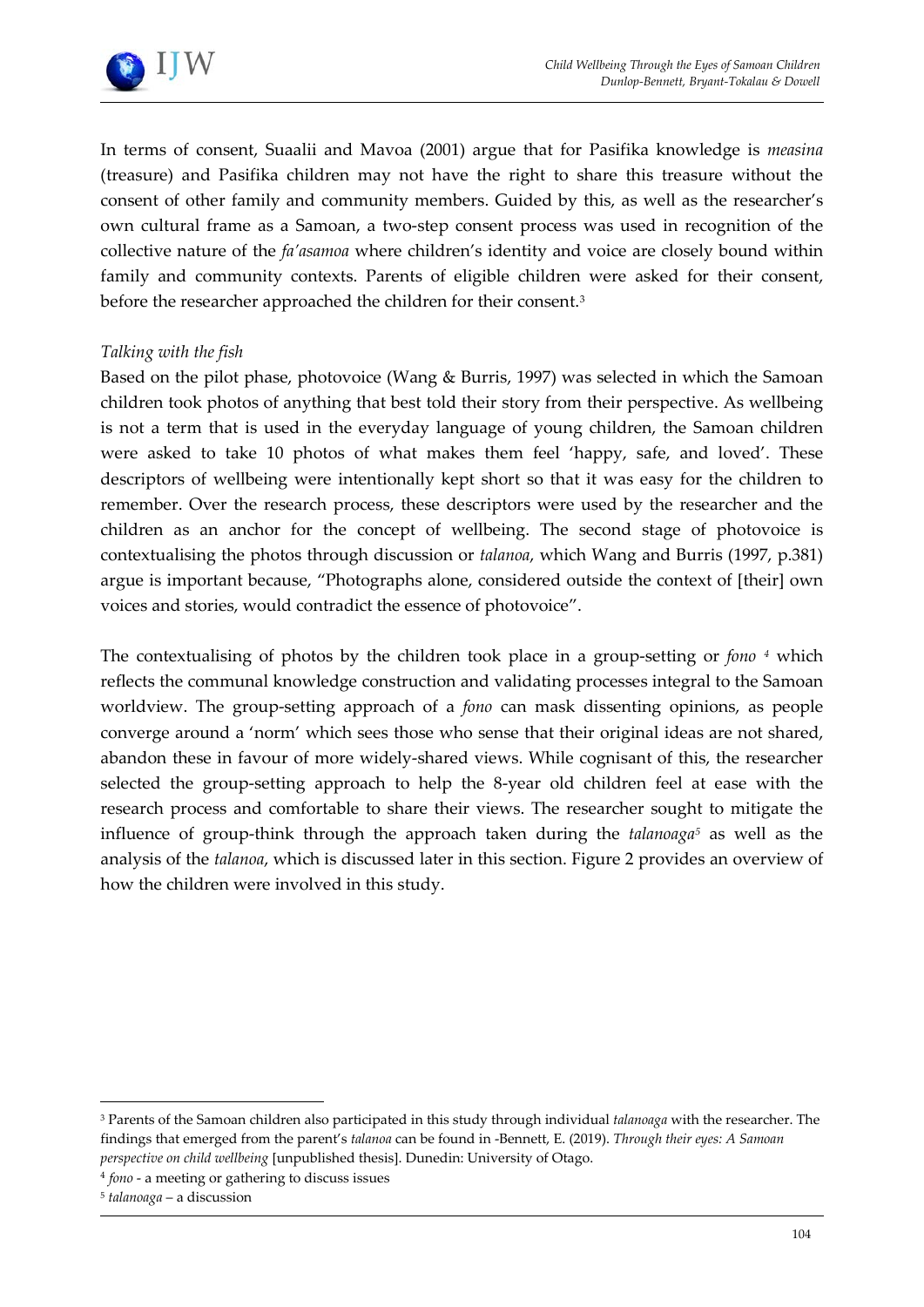

In terms of consent, Suaalii and Mavoa (2001) argue that for Pasifika knowledge is *measina* (treasure) and Pasifika children may not have the right to share this treasure without the consent of other family and community members. Guided by this, as well as the researcher's own cultural frame as a Samoan, a two-step consent process was used in recognition of the collective nature of the *fa'asamoa* where children's identity and voice are closely bound within family and community contexts. Parents of eligible children were asked for their consent, before the researcher approached the children for their consent.<sup>[3](#page-7-0)</sup>

# *Talking with the fish*

Based on the pilot phase, photovoice (Wang & Burris, 1997) was selected in which the Samoan children took photos of anything that best told their story from their perspective. As wellbeing is not a term that is used in the everyday language of young children, the Samoan children were asked to take 10 photos of what makes them feel 'happy, safe, and loved'. These descriptors of wellbeing were intentionally kept short so that it was easy for the children to remember. Over the research process, these descriptors were used by the researcher and the children as an anchor for the concept of wellbeing. The second stage of photovoice is contextualising the photos through discussion or *talanoa*, which Wang and Burris (1997, p.381) argue is important because, "Photographs alone, considered outside the context of [their] own voices and stories, would contradict the essence of photovoice".

The contextualising of photos by the children took place in a group-setting or *fono [4](#page-7-1)* which reflects the communal knowledge construction and validating processes integral to the Samoan worldview. The group-setting approach of a *fono* can mask dissenting opinions, as people converge around a 'norm' which sees those who sense that their original ideas are not shared, abandon these in favour of more widely-shared views. While cognisant of this, the researcher selected the group-setting approach to help the 8-year old children feel at ease with the research process and comfortable to share their views. The researcher sought to mitigate the influence of group-think through the approach taken during the *talanoaga[5](#page-7-2)* as well as the analysis of the *talanoa*, which is discussed later in this section. Figure 2 provides an overview of how the children were involved in this study.

<span id="page-7-0"></span> $\overline{a}$ <sup>3</sup> Parents of the Samoan children also participated in this study through individual *talanoaga* with the researcher. The findings that emerged from the parent's *talanoa* can be found in -Bennett, E. (2019). *Through their eyes: A Samoan perspective on child wellbeing* [unpublished thesis]. Dunedin: University of Otago.

<span id="page-7-1"></span><sup>4</sup> *fono* - a meeting or gathering to discuss issues

<span id="page-7-2"></span><sup>5</sup> *talanoaga* – a discussion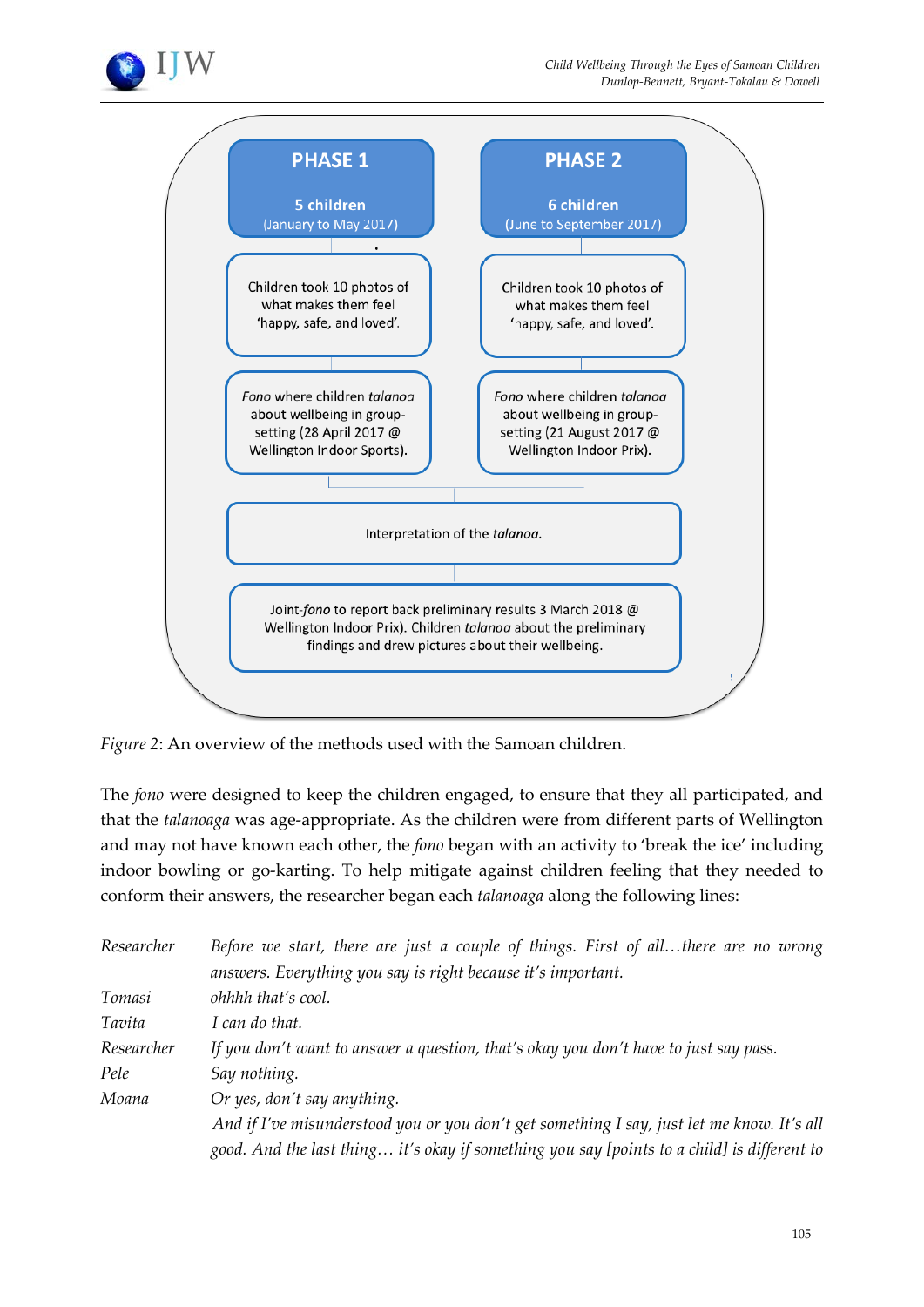



*Figure 2*: An overview of the methods used with the Samoan children.

The *fono* were designed to keep the children engaged, to ensure that they all participated, and that the *talanoaga* was age-appropriate. As the children were from different parts of Wellington and may not have known each other, the *fono* began with an activity to 'break the ice' including indoor bowling or go-karting. To help mitigate against children feeling that they needed to conform their answers, the researcher began each *talanoaga* along the following lines:

| Researcher | Before we start, there are just a couple of things. First of allthere are no wrong          |
|------------|---------------------------------------------------------------------------------------------|
|            | answers. Everything you say is right because it's important.                                |
| Tomasi     | ohhhh that's cool.                                                                          |
| Tavita     | I can do that.                                                                              |
| Researcher | If you don't want to answer a question, that's okay you don't have to just say pass.        |
| Pele       | Say nothing.                                                                                |
| Moana      | Or yes, don't say anything.                                                                 |
|            | And if I've misunderstood you or you don't get something I say, just let me know. It's all  |
|            | good. And the last thing it's okay if something you say [points to a child] is different to |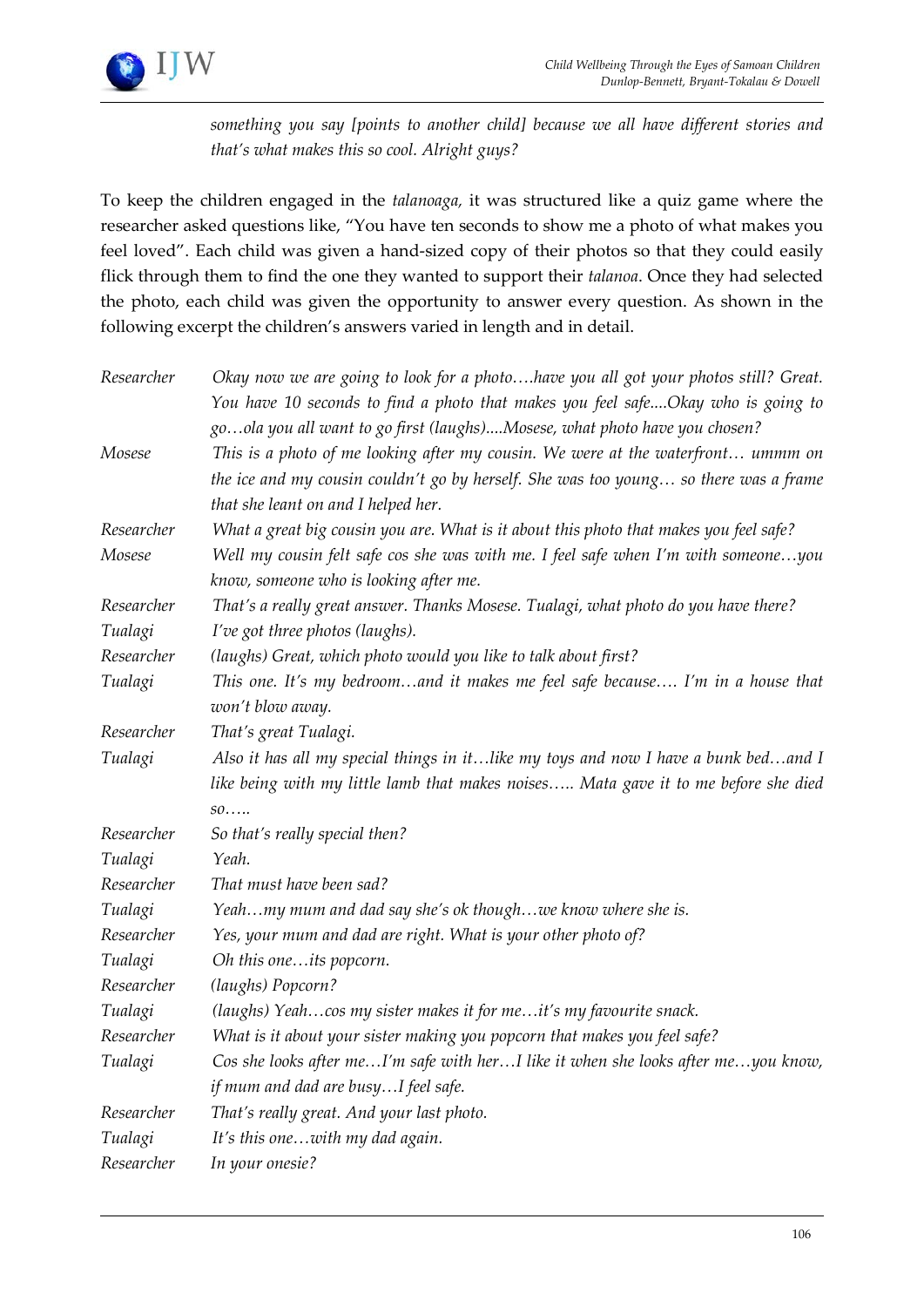

*something you say [points to another child] because we all have different stories and that's what makes this so cool. Alright guys?*

To keep the children engaged in the *talanoaga,* it was structured like a quiz game where the researcher asked questions like, "You have ten seconds to show me a photo of what makes you feel loved". Each child was given a hand-sized copy of their photos so that they could easily flick through them to find the one they wanted to support their *talanoa*. Once they had selected the photo, each child was given the opportunity to answer every question. As shown in the following excerpt the children's answers varied in length and in detail.

| Researcher | Okay now we are going to look for a photohave you all got your photos still? Great.                                                                            |
|------------|----------------------------------------------------------------------------------------------------------------------------------------------------------------|
|            | You have 10 seconds to find a photo that makes you feel safeOkay who is going to<br>goola you all want to go first (laughs)Mosese, what photo have you chosen? |
| Mosese     | This is a photo of me looking after my cousin. We were at the waterfront ummm on                                                                               |
|            | the ice and my cousin couldn't go by herself. She was too young so there was a frame                                                                           |
|            | that she leant on and I helped her.                                                                                                                            |
| Researcher | What a great big cousin you are. What is it about this photo that makes you feel safe?                                                                         |
| Mosese     | Well my cousin felt safe cos she was with me. I feel safe when I'm with someoneyou<br>know, someone who is looking after me.                                   |
| Researcher | That's a really great answer. Thanks Mosese. Tualagi, what photo do you have there?                                                                            |
| Tualagi    | I've got three photos (laughs).                                                                                                                                |
| Researcher | (laughs) Great, which photo would you like to talk about first?                                                                                                |
| Tualagi    | This one. It's my bedroomand it makes me feel safe because I'm in a house that                                                                                 |
|            | won't blow away.                                                                                                                                               |
| Researcher | That's great Tualagi.                                                                                                                                          |
| Tualagi    | Also it has all my special things in itlike my toys and now I have a bunk bedand I                                                                             |
|            | like being with my little lamb that makes noises Mata gave it to me before she died                                                                            |
|            | so                                                                                                                                                             |
| Researcher | So that's really special then?                                                                                                                                 |
| Tualagi    | Yeah.                                                                                                                                                          |
| Researcher | That must have been sad?                                                                                                                                       |
| Tualagi    | Yeahmy mum and dad say she's ok thoughwe know where she is.                                                                                                    |
| Researcher | Yes, your mum and dad are right. What is your other photo of?                                                                                                  |
| Tualagi    | Oh this oneits popcorn.                                                                                                                                        |
| Researcher | (laughs) Popcorn?                                                                                                                                              |
| Tualagi    | (laughs) Yeahcos my sister makes it for meit's my favourite snack.                                                                                             |
| Researcher | What is it about your sister making you popcorn that makes you feel safe?                                                                                      |
| Tualagi    | Cos she looks after meI'm safe with herI like it when she looks after meyou know,                                                                              |
|            | if mum and dad are busyI feel safe.                                                                                                                            |
| Researcher | That's really great. And your last photo.                                                                                                                      |
| Tualagi    | It's this onewith my dad again.                                                                                                                                |
| Researcher | In your onesie?                                                                                                                                                |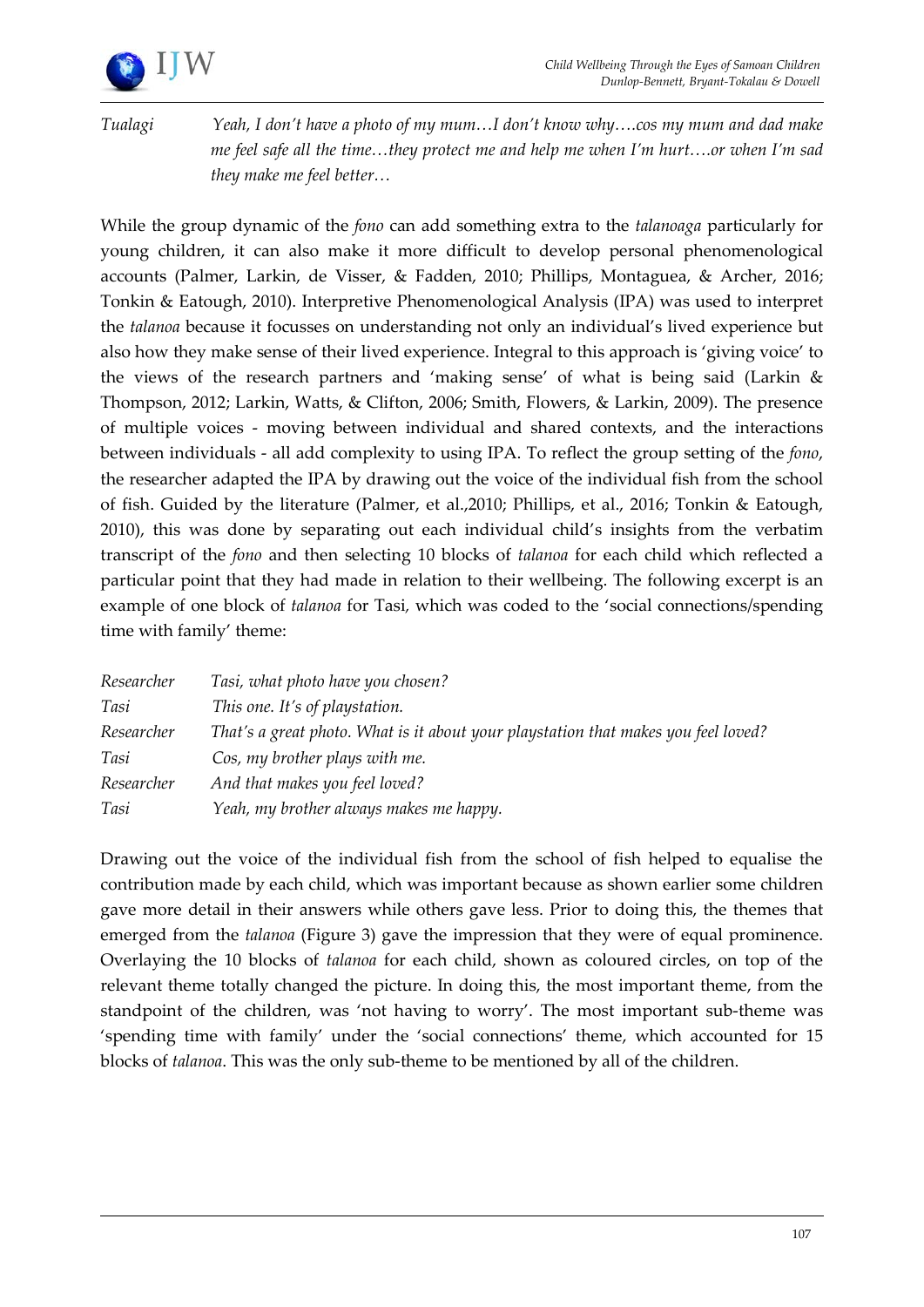

*Tualagi Yeah, I don't have a photo of my mum…I don't know why….cos my mum and dad make me feel safe all the time…they protect me and help me when I'm hurt….or when I'm sad they make me feel better…*

While the group dynamic of the *fono* can add something extra to the *talanoaga* particularly for young children, it can also make it more difficult to develop personal phenomenological accounts (Palmer, Larkin, de Visser, & Fadden, 2010; Phillips, Montaguea, & Archer, 2016; Tonkin & Eatough, 2010). Interpretive Phenomenological Analysis (IPA) was used to interpret the *talanoa* because it focusses on understanding not only an individual's lived experience but also how they make sense of their lived experience. Integral to this approach is 'giving voice' to the views of the research partners and 'making sense' of what is being said (Larkin & Thompson, 2012; Larkin, Watts, & Clifton, 2006; Smith, Flowers, & Larkin, 2009). The presence of multiple voices - moving between individual and shared contexts, and the interactions between individuals - all add complexity to using IPA. To reflect the group setting of the *fono*, the researcher adapted the IPA by drawing out the voice of the individual fish from the school of fish. Guided by the literature (Palmer, et al.,2010; Phillips, et al., 2016; Tonkin & Eatough, 2010), this was done by separating out each individual child's insights from the verbatim transcript of the *fono* and then selecting 10 blocks of *talanoa* for each child which reflected a particular point that they had made in relation to their wellbeing. The following excerpt is an example of one block of *talanoa* for Tasi*,* which was coded to the 'social connections/spending time with family' theme:

| Researcher | Tasi, what photo have you chosen?                                                  |
|------------|------------------------------------------------------------------------------------|
| Tasi       | This one. It's of playstation.                                                     |
| Researcher | That's a great photo. What is it about your playstation that makes you feel loved? |
| Tasi       | Cos, my brother plays with me.                                                     |
| Researcher | And that makes you feel loved?                                                     |
| Tasi       | Yeah, my brother always makes me happy.                                            |

Drawing out the voice of the individual fish from the school of fish helped to equalise the contribution made by each child, which was important because as shown earlier some children gave more detail in their answers while others gave less. Prior to doing this, the themes that emerged from the *talanoa* (Figure 3) gave the impression that they were of equal prominence. Overlaying the 10 blocks of *talanoa* for each child, shown as coloured circles, on top of the relevant theme totally changed the picture. In doing this, the most important theme, from the standpoint of the children, was 'not having to worry'. The most important sub-theme was 'spending time with family' under the 'social connections' theme, which accounted for 15 blocks of *talanoa*. This was the only sub-theme to be mentioned by all of the children.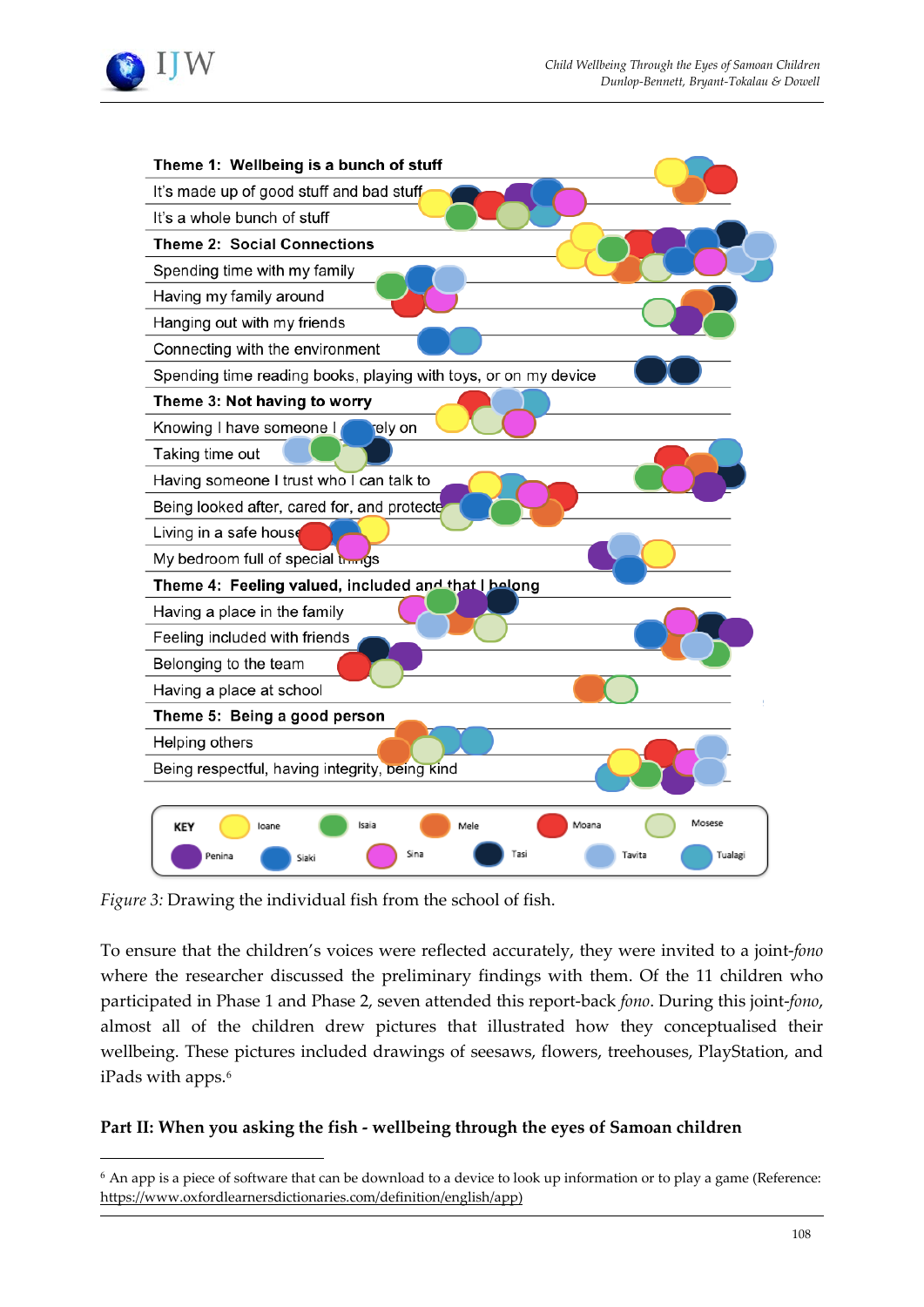



*Figure 3:* Drawing the individual fish from the school of fish.

 $\overline{a}$ 

To ensure that the children's voices were reflected accurately, they were invited to a joint-*fono* where the researcher discussed the preliminary findings with them. Of the 11 children who participated in Phase 1 and Phase 2, seven attended this report-back *fono*. During this joint-*fono*, almost all of the children drew pictures that illustrated how they conceptualised their wellbeing. These pictures included drawings of seesaws, flowers, treehouses, PlayStation, and iPads with apps.<sup>[6](#page-11-0)</sup>

# **Part II: When you asking the fish - wellbeing through the eyes of Samoan children**

<span id="page-11-0"></span><sup>6</sup> An app is a piece of software that can be download to a device to look up information or to play a game (Reference: [https://www.oxfordlearnersdictionaries.com/definition/english/app\)](https://www.oxfordlearnersdictionaries.com/definition/english/app)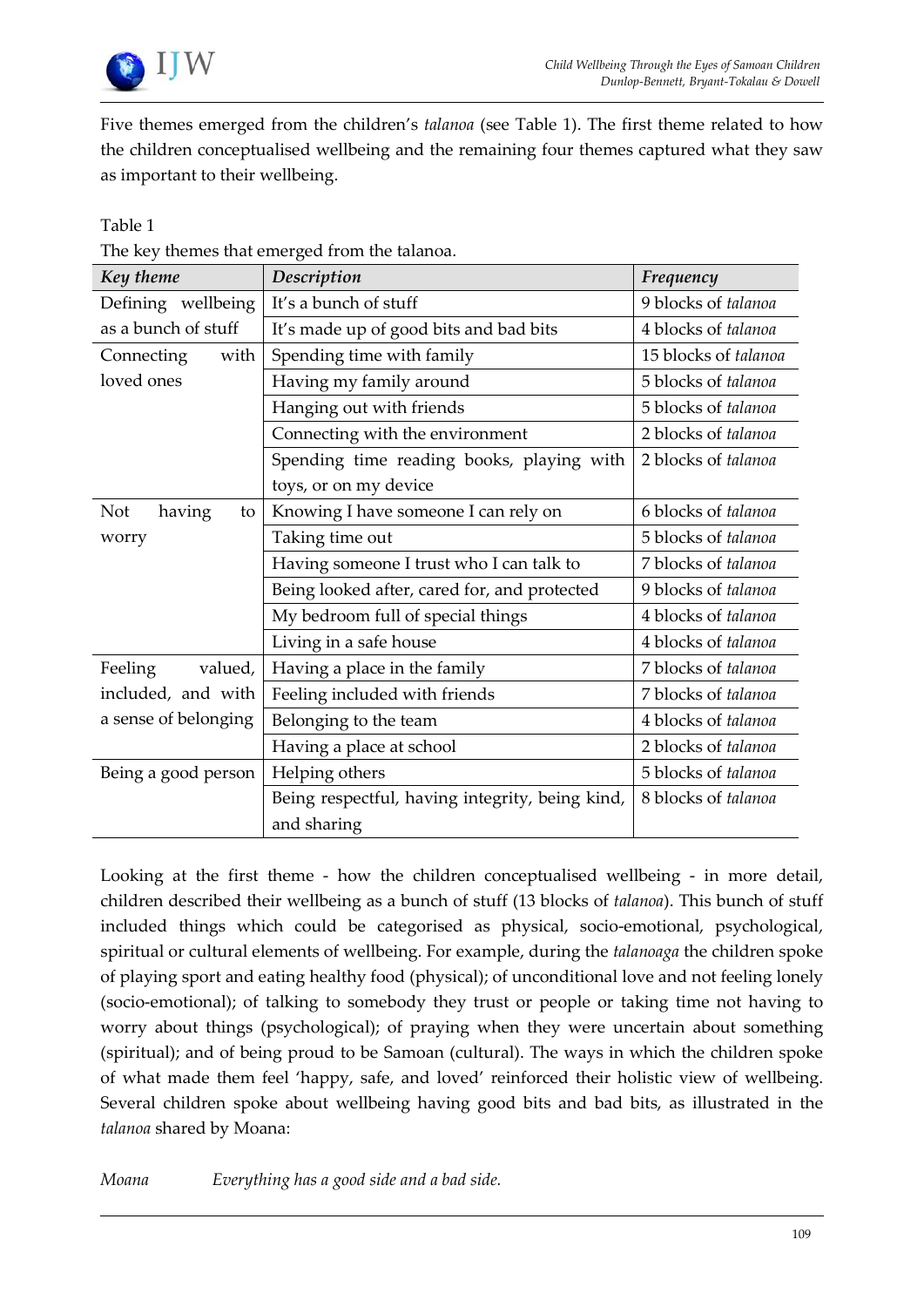

Five themes emerged from the children's *talanoa* (see Table 1). The first theme related to how the children conceptualised wellbeing and the remaining four themes captured what they saw as important to their wellbeing.

# Table 1

| The key themes that emerged from the talanoa. |
|-----------------------------------------------|
|                                               |

| Key theme                  | Description                                     | Frequency            |
|----------------------------|-------------------------------------------------|----------------------|
| Defining wellbeing         | It's a bunch of stuff                           | 9 blocks of talanoa  |
| as a bunch of stuff        | It's made up of good bits and bad bits          | 4 blocks of talanoa  |
| with<br>Connecting         | Spending time with family                       | 15 blocks of talanoa |
| loved ones                 | Having my family around                         | 5 blocks of talanoa  |
|                            | Hanging out with friends                        | 5 blocks of talanoa  |
|                            | Connecting with the environment                 | 2 blocks of talanoa  |
|                            | Spending time reading books, playing with       | 2 blocks of talanoa  |
|                            | toys, or on my device                           |                      |
| having<br><b>Not</b><br>to | Knowing I have someone I can rely on            | 6 blocks of talanoa  |
| worry                      | Taking time out                                 | 5 blocks of talanoa  |
|                            | Having someone I trust who I can talk to        | 7 blocks of talanoa  |
|                            | Being looked after, cared for, and protected    | 9 blocks of talanoa  |
|                            | My bedroom full of special things               | 4 blocks of talanoa  |
|                            | Living in a safe house                          | 4 blocks of talanoa  |
| Feeling<br>valued,         | Having a place in the family                    | 7 blocks of talanoa  |
| included, and with         | Feeling included with friends                   | 7 blocks of talanoa  |
| a sense of belonging       | Belonging to the team                           | 4 blocks of talanoa  |
|                            | Having a place at school                        | 2 blocks of talanoa  |
| Being a good person        | Helping others                                  | 5 blocks of talanoa  |
|                            | Being respectful, having integrity, being kind, | 8 blocks of talanoa  |
|                            | and sharing                                     |                      |

Looking at the first theme - how the children conceptualised wellbeing - in more detail, children described their wellbeing as a bunch of stuff (13 blocks of *talanoa*). This bunch of stuff included things which could be categorised as physical, socio-emotional, psychological, spiritual or cultural elements of wellbeing. For example, during the *talanoaga* the children spoke of playing sport and eating healthy food (physical); of unconditional love and not feeling lonely (socio-emotional); of talking to somebody they trust or people or taking time not having to worry about things (psychological); of praying when they were uncertain about something (spiritual); and of being proud to be Samoan (cultural). The ways in which the children spoke of what made them feel 'happy, safe, and loved' reinforced their holistic view of wellbeing. Several children spoke about wellbeing having good bits and bad bits, as illustrated in the *talanoa* shared by Moana:

*Moana Everything has a good side and a bad side.*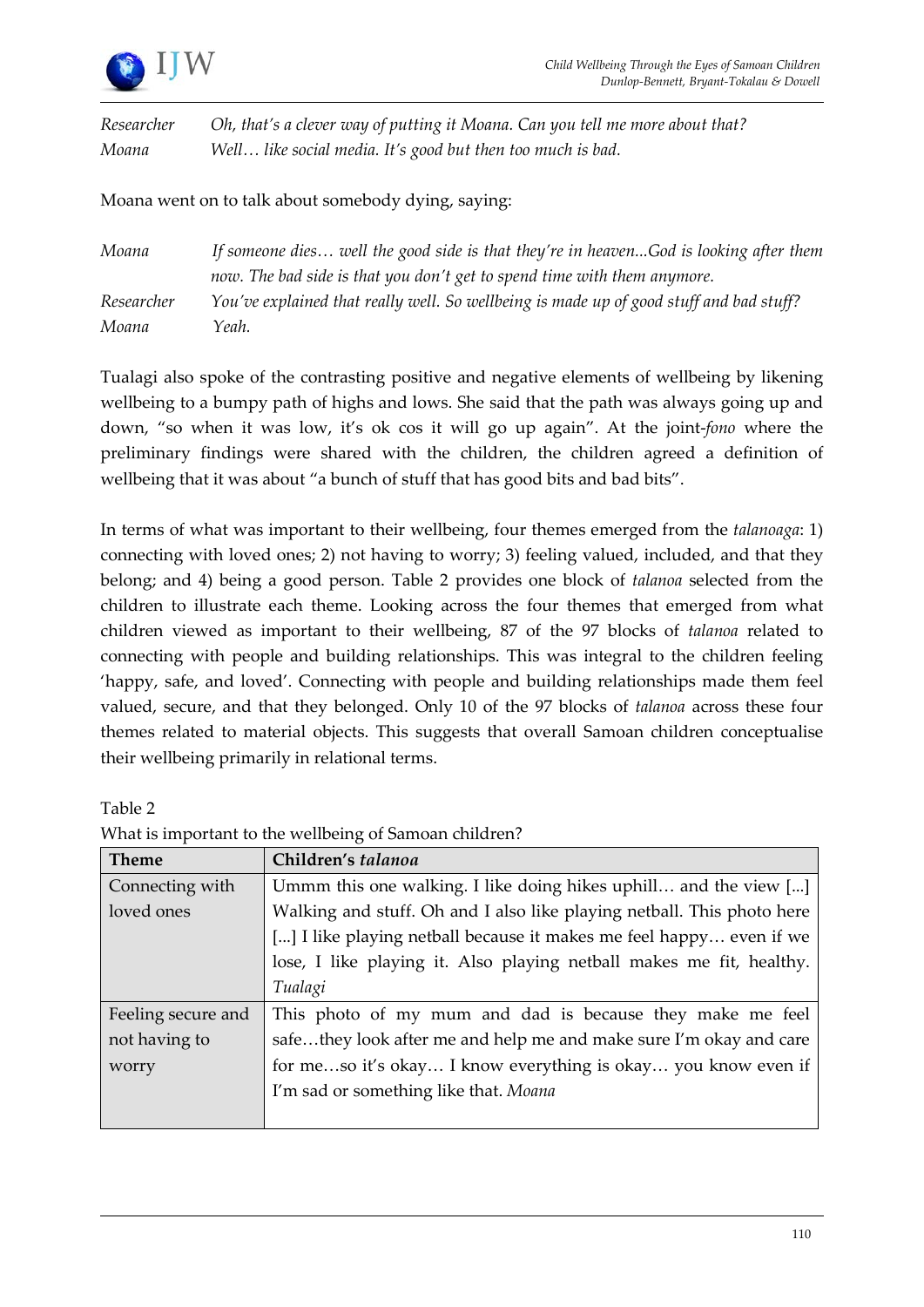

*Researcher Oh, that's a clever way of putting it Moana. Can you tell me more about that? Moana Well… like social media. It's good but then too much is bad.*

Moana went on to talk about somebody dying, saying:

| Moana      | If someone dies well the good side is that they're in heavenGod is looking after them   |
|------------|-----------------------------------------------------------------------------------------|
|            | now. The bad side is that you don't get to spend time with them anymore.                |
| Researcher | You've explained that really well. So wellbeing is made up of good stuff and bad stuff? |
| Moana      | Yeah.                                                                                   |

Tualagi also spoke of the contrasting positive and negative elements of wellbeing by likening wellbeing to a bumpy path of highs and lows. She said that the path was always going up and down, "so when it was low, it's ok cos it will go up again". At the joint-*fono* where the preliminary findings were shared with the children, the children agreed a definition of wellbeing that it was about "a bunch of stuff that has good bits and bad bits".

In terms of what was important to their wellbeing, four themes emerged from the *talanoaga*: 1) connecting with loved ones; 2) not having to worry; 3) feeling valued, included, and that they belong; and 4) being a good person. Table 2 provides one block of *talanoa* selected from the children to illustrate each theme. Looking across the four themes that emerged from what children viewed as important to their wellbeing, 87 of the 97 blocks of *talanoa* related to connecting with people and building relationships. This was integral to the children feeling 'happy, safe, and loved'. Connecting with people and building relationships made them feel valued, secure, and that they belonged. Only 10 of the 97 blocks of *talanoa* across these four themes related to material objects. This suggests that overall Samoan children conceptualise their wellbeing primarily in relational terms.

Table 2

| <b>Theme</b>       | Children's talanoa                                                     |
|--------------------|------------------------------------------------------------------------|
| Connecting with    | Ummm this one walking. I like doing hikes uphill and the view []       |
| loved ones         | Walking and stuff. Oh and I also like playing netball. This photo here |
|                    | [] I like playing netball because it makes me feel happy even if we    |
|                    | lose, I like playing it. Also playing netball makes me fit, healthy.   |
|                    | Tualagi                                                                |
| Feeling secure and | This photo of my mum and dad is because they make me feel              |
| not having to      | safethey look after me and help me and make sure I'm okay and care     |
| worry              | for meso it's okay I know everything is okay you know even if          |
|                    | I'm sad or something like that. Moana                                  |
|                    |                                                                        |

What is important to the wellbeing of Samoan children?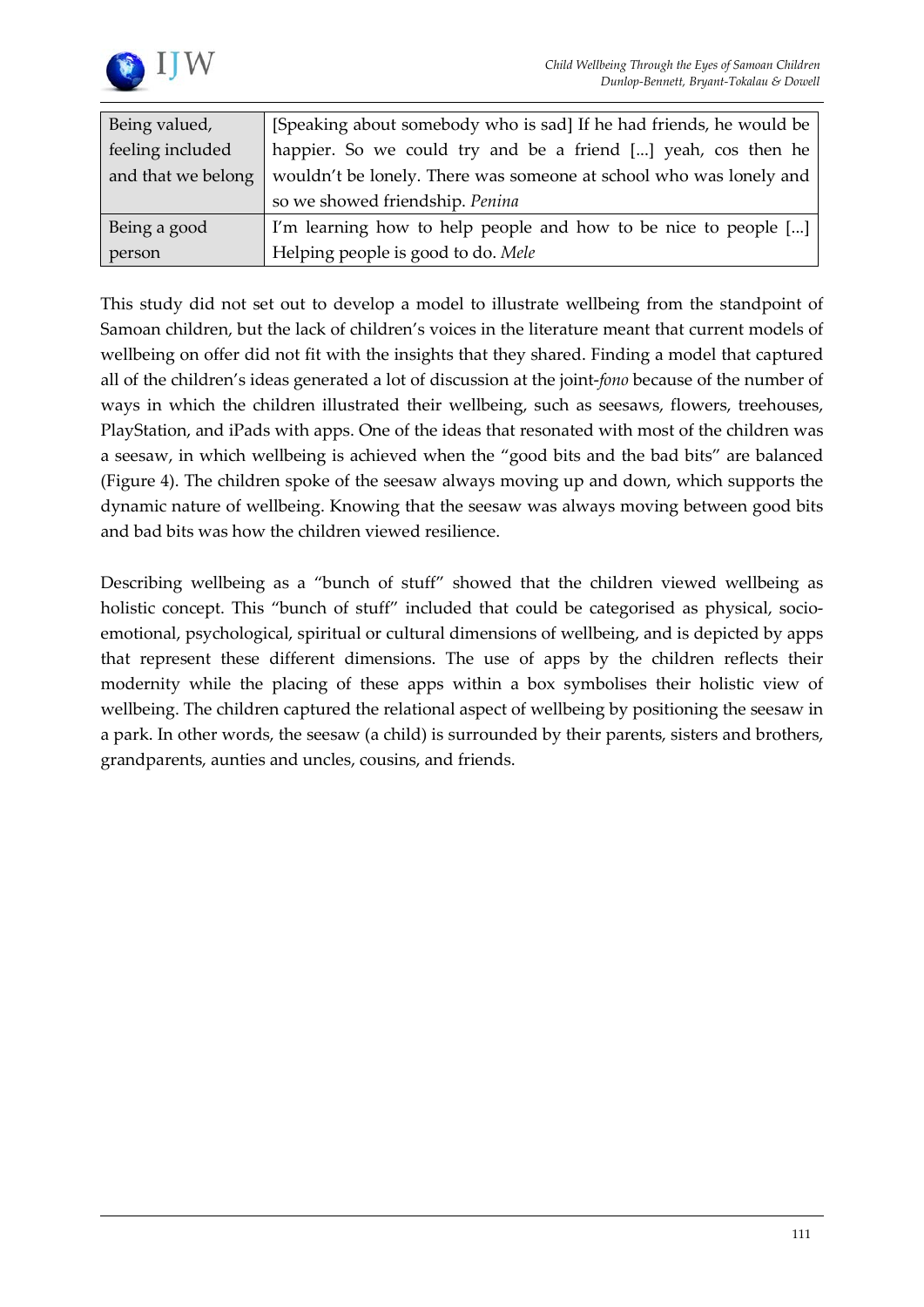



| Being valued,      | [Speaking about somebody who is sad] If he had friends, he would be |
|--------------------|---------------------------------------------------------------------|
| feeling included   | happier. So we could try and be a friend [] yeah, cos then he       |
| and that we belong | wouldn't be lonely. There was someone at school who was lonely and  |
|                    | so we showed friendship. Penina                                     |
| Being a good       | I'm learning how to help people and how to be nice to people []     |
| person             | Helping people is good to do. Mele                                  |

This study did not set out to develop a model to illustrate wellbeing from the standpoint of Samoan children, but the lack of children's voices in the literature meant that current models of wellbeing on offer did not fit with the insights that they shared. Finding a model that captured all of the children's ideas generated a lot of discussion at the joint-*fono* because of the number of ways in which the children illustrated their wellbeing, such as seesaws, flowers, treehouses, PlayStation, and iPads with apps. One of the ideas that resonated with most of the children was a seesaw, in which wellbeing is achieved when the "good bits and the bad bits" are balanced (Figure 4). The children spoke of the seesaw always moving up and down, which supports the dynamic nature of wellbeing. Knowing that the seesaw was always moving between good bits and bad bits was how the children viewed resilience.

Describing wellbeing as a "bunch of stuff" showed that the children viewed wellbeing as holistic concept. This "bunch of stuff" included that could be categorised as physical, socioemotional, psychological, spiritual or cultural dimensions of wellbeing, and is depicted by apps that represent these different dimensions. The use of apps by the children reflects their modernity while the placing of these apps within a box symbolises their holistic view of wellbeing. The children captured the relational aspect of wellbeing by positioning the seesaw in a park. In other words, the seesaw (a child) is surrounded by their parents, sisters and brothers, grandparents, aunties and uncles, cousins, and friends.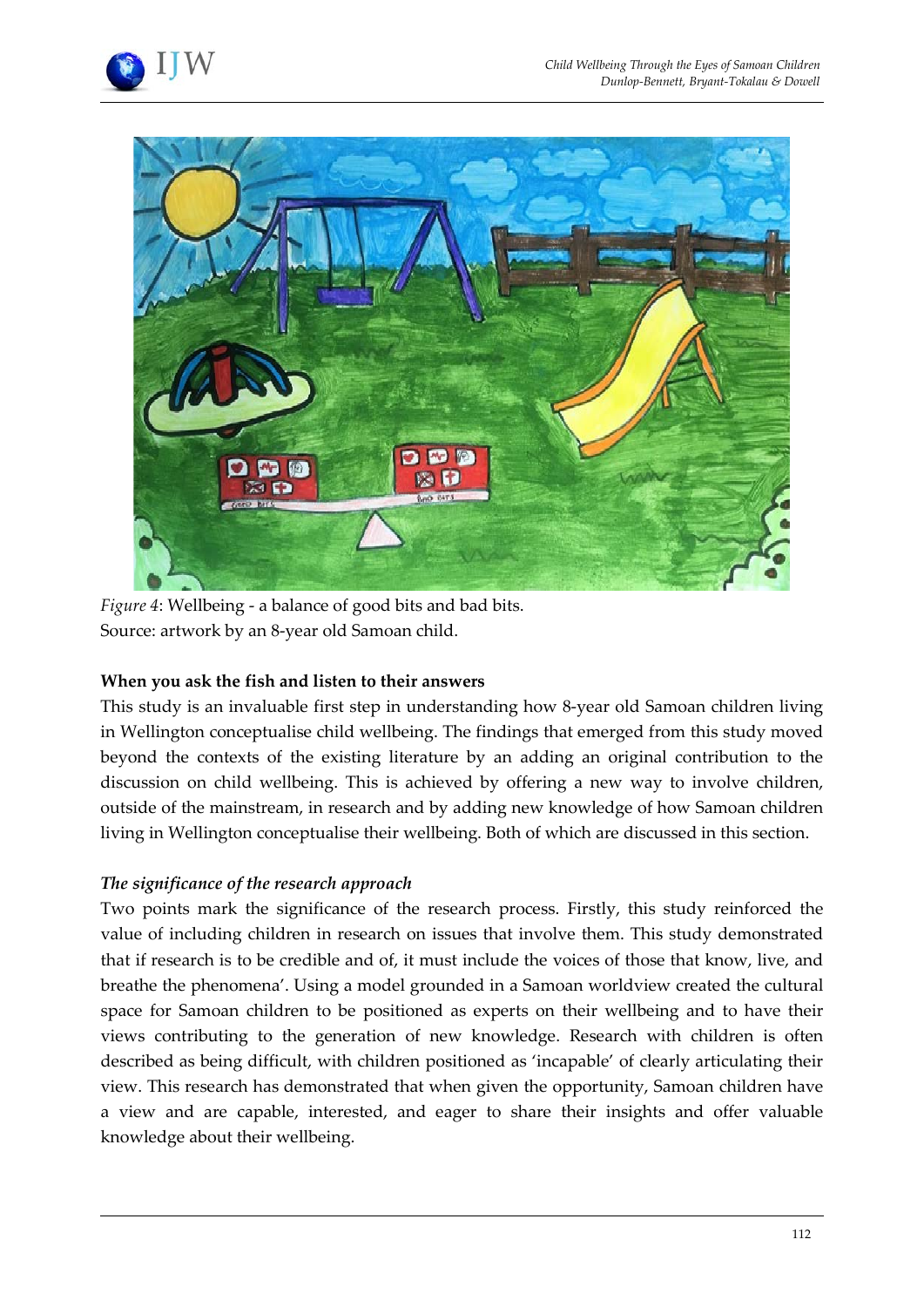



*Figure 4*: Wellbeing - a balance of good bits and bad bits. Source: artwork by an 8-year old Samoan child.

# **When you ask the fish and listen to their answers**

This study is an invaluable first step in understanding how 8-year old Samoan children living in Wellington conceptualise child wellbeing. The findings that emerged from this study moved beyond the contexts of the existing literature by an adding an original contribution to the discussion on child wellbeing. This is achieved by offering a new way to involve children, outside of the mainstream, in research and by adding new knowledge of how Samoan children living in Wellington conceptualise their wellbeing. Both of which are discussed in this section.

# *The significance of the research approach*

Two points mark the significance of the research process. Firstly, this study reinforced the value of including children in research on issues that involve them. This study demonstrated that if research is to be credible and of, it must include the voices of those that know, live, and breathe the phenomena'. Using a model grounded in a Samoan worldview created the cultural space for Samoan children to be positioned as experts on their wellbeing and to have their views contributing to the generation of new knowledge. Research with children is often described as being difficult, with children positioned as 'incapable' of clearly articulating their view. This research has demonstrated that when given the opportunity, Samoan children have a view and are capable, interested, and eager to share their insights and offer valuable knowledge about their wellbeing.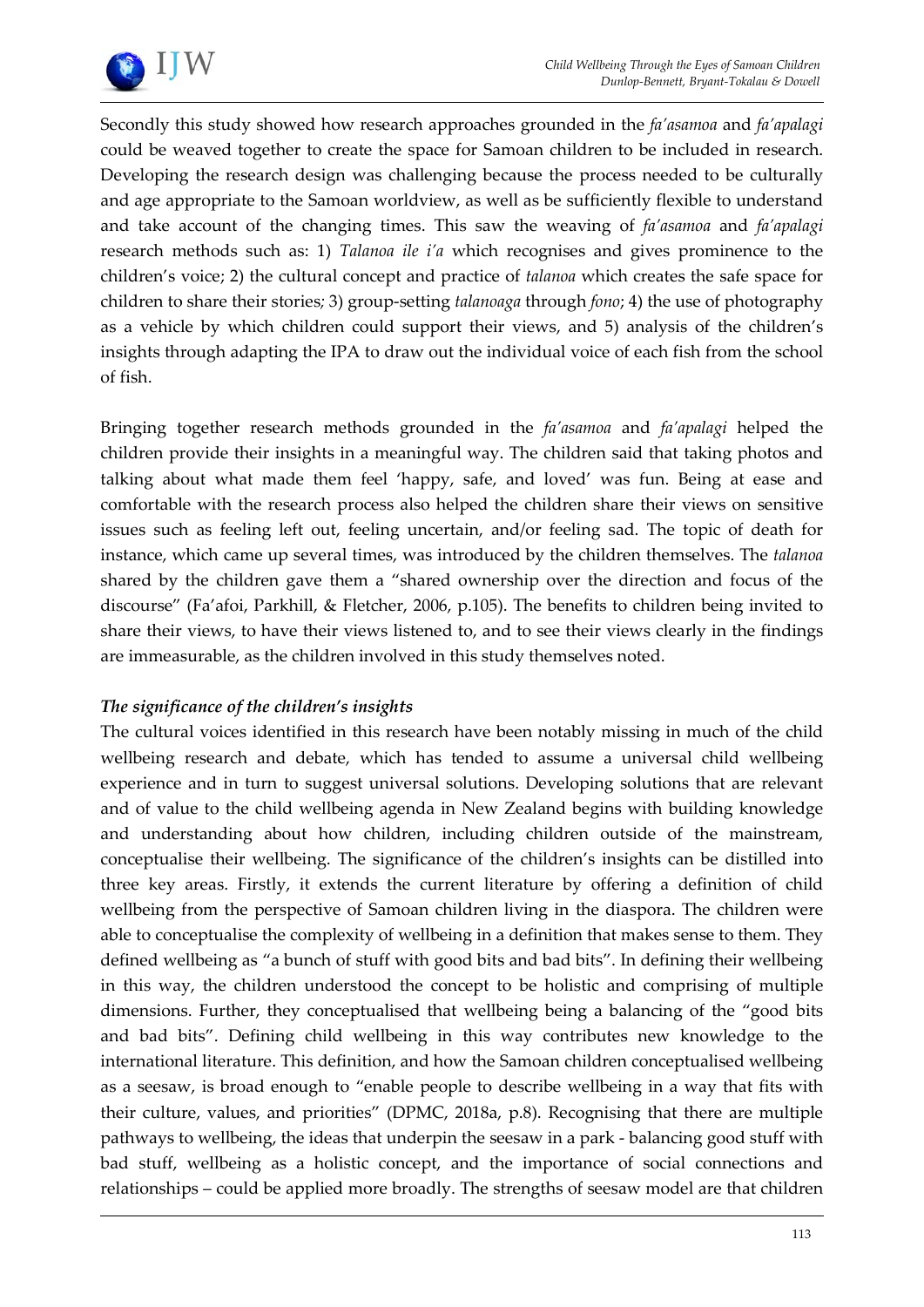

Secondly this study showed how research approaches grounded in the *fa'asamoa* and *fa'apalagi* could be weaved together to create the space for Samoan children to be included in research. Developing the research design was challenging because the process needed to be culturally and age appropriate to the Samoan worldview, as well as be sufficiently flexible to understand and take account of the changing times. This saw the weaving of *fa'asamoa* and *fa'apalagi*  research methods such as: 1) *Talanoa ile i'a* which recognises and gives prominence to the children's voice; 2) the cultural concept and practice of *talanoa* which creates the safe space for children to share their stories*;* 3) group-setting *talanoaga* through *fono*; 4) the use of photography as a vehicle by which children could support their views, and 5) analysis of the children's insights through adapting the IPA to draw out the individual voice of each fish from the school of fish.

Bringing together research methods grounded in the *fa'asamoa* and *fa'apalagi* helped the children provide their insights in a meaningful way. The children said that taking photos and talking about what made them feel 'happy, safe, and loved' was fun. Being at ease and comfortable with the research process also helped the children share their views on sensitive issues such as feeling left out, feeling uncertain, and/or feeling sad. The topic of death for instance, which came up several times, was introduced by the children themselves. The *talanoa* shared by the children gave them a "shared ownership over the direction and focus of the discourse" (Fa'afoi, Parkhill, & Fletcher, 2006, p.105). The benefits to children being invited to share their views, to have their views listened to, and to see their views clearly in the findings are immeasurable, as the children involved in this study themselves noted.

# *The significance of the children's insights*

The cultural voices identified in this research have been notably missing in much of the child wellbeing research and debate, which has tended to assume a universal child wellbeing experience and in turn to suggest universal solutions. Developing solutions that are relevant and of value to the child wellbeing agenda in New Zealand begins with building knowledge and understanding about how children, including children outside of the mainstream, conceptualise their wellbeing. The significance of the children's insights can be distilled into three key areas. Firstly, it extends the current literature by offering a definition of child wellbeing from the perspective of Samoan children living in the diaspora. The children were able to conceptualise the complexity of wellbeing in a definition that makes sense to them. They defined wellbeing as "a bunch of stuff with good bits and bad bits". In defining their wellbeing in this way, the children understood the concept to be holistic and comprising of multiple dimensions. Further, they conceptualised that wellbeing being a balancing of the "good bits and bad bits". Defining child wellbeing in this way contributes new knowledge to the international literature. This definition, and how the Samoan children conceptualised wellbeing as a seesaw, is broad enough to "enable people to describe wellbeing in a way that fits with their culture, values, and priorities" (DPMC, 2018a, p.8). Recognising that there are multiple pathways to wellbeing, the ideas that underpin the seesaw in a park - balancing good stuff with bad stuff, wellbeing as a holistic concept, and the importance of social connections and relationships – could be applied more broadly. The strengths of seesaw model are that children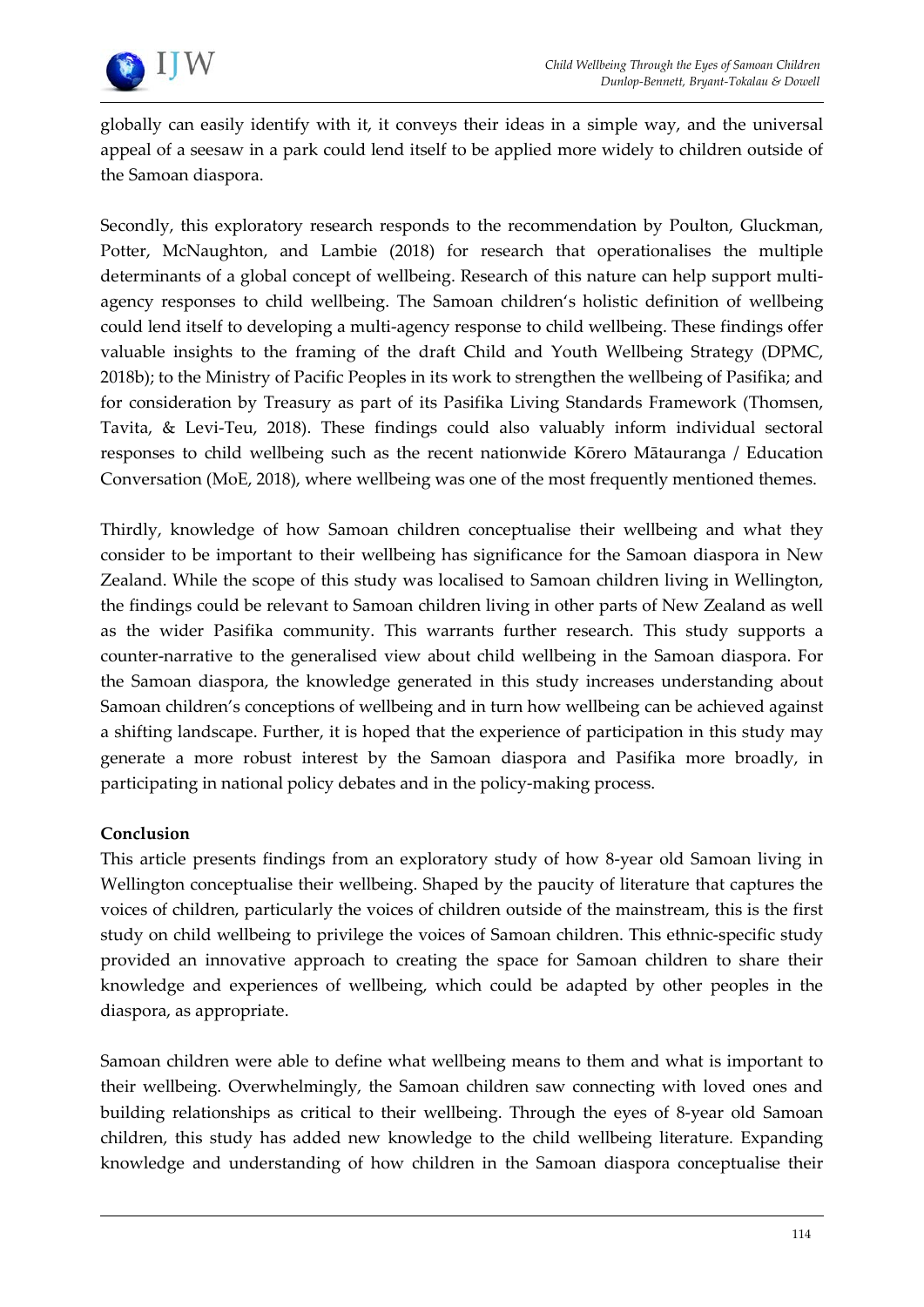

globally can easily identify with it, it conveys their ideas in a simple way, and the universal appeal of a seesaw in a park could lend itself to be applied more widely to children outside of the Samoan diaspora.

Secondly, this exploratory research responds to the recommendation by Poulton, Gluckman, Potter, McNaughton, and Lambie (2018) for research that operationalises the multiple determinants of a global concept of wellbeing. Research of this nature can help support multiagency responses to child wellbeing. The Samoan children's holistic definition of wellbeing could lend itself to developing a multi-agency response to child wellbeing. These findings offer valuable insights to the framing of the draft Child and Youth Wellbeing Strategy (DPMC, 2018b); to the Ministry of Pacific Peoples in its work to strengthen the wellbeing of Pasifika; and for consideration by Treasury as part of its Pasifika Living Standards Framework (Thomsen, Tavita, & Levi-Teu, 2018). These findings could also valuably inform individual sectoral responses to child wellbeing such as the recent nationwide Kōrero Mātauranga / Education Conversation (MoE, 2018), where wellbeing was one of the most frequently mentioned themes.

Thirdly, knowledge of how Samoan children conceptualise their wellbeing and what they consider to be important to their wellbeing has significance for the Samoan diaspora in New Zealand. While the scope of this study was localised to Samoan children living in Wellington, the findings could be relevant to Samoan children living in other parts of New Zealand as well as the wider Pasifika community. This warrants further research. This study supports a counter-narrative to the generalised view about child wellbeing in the Samoan diaspora. For the Samoan diaspora, the knowledge generated in this study increases understanding about Samoan children's conceptions of wellbeing and in turn how wellbeing can be achieved against a shifting landscape. Further, it is hoped that the experience of participation in this study may generate a more robust interest by the Samoan diaspora and Pasifika more broadly, in participating in national policy debates and in the policy-making process.

# **Conclusion**

This article presents findings from an exploratory study of how 8-year old Samoan living in Wellington conceptualise their wellbeing. Shaped by the paucity of literature that captures the voices of children, particularly the voices of children outside of the mainstream, this is the first study on child wellbeing to privilege the voices of Samoan children. This ethnic-specific study provided an innovative approach to creating the space for Samoan children to share their knowledge and experiences of wellbeing, which could be adapted by other peoples in the diaspora, as appropriate.

Samoan children were able to define what wellbeing means to them and what is important to their wellbeing. Overwhelmingly, the Samoan children saw connecting with loved ones and building relationships as critical to their wellbeing. Through the eyes of 8-year old Samoan children, this study has added new knowledge to the child wellbeing literature. Expanding knowledge and understanding of how children in the Samoan diaspora conceptualise their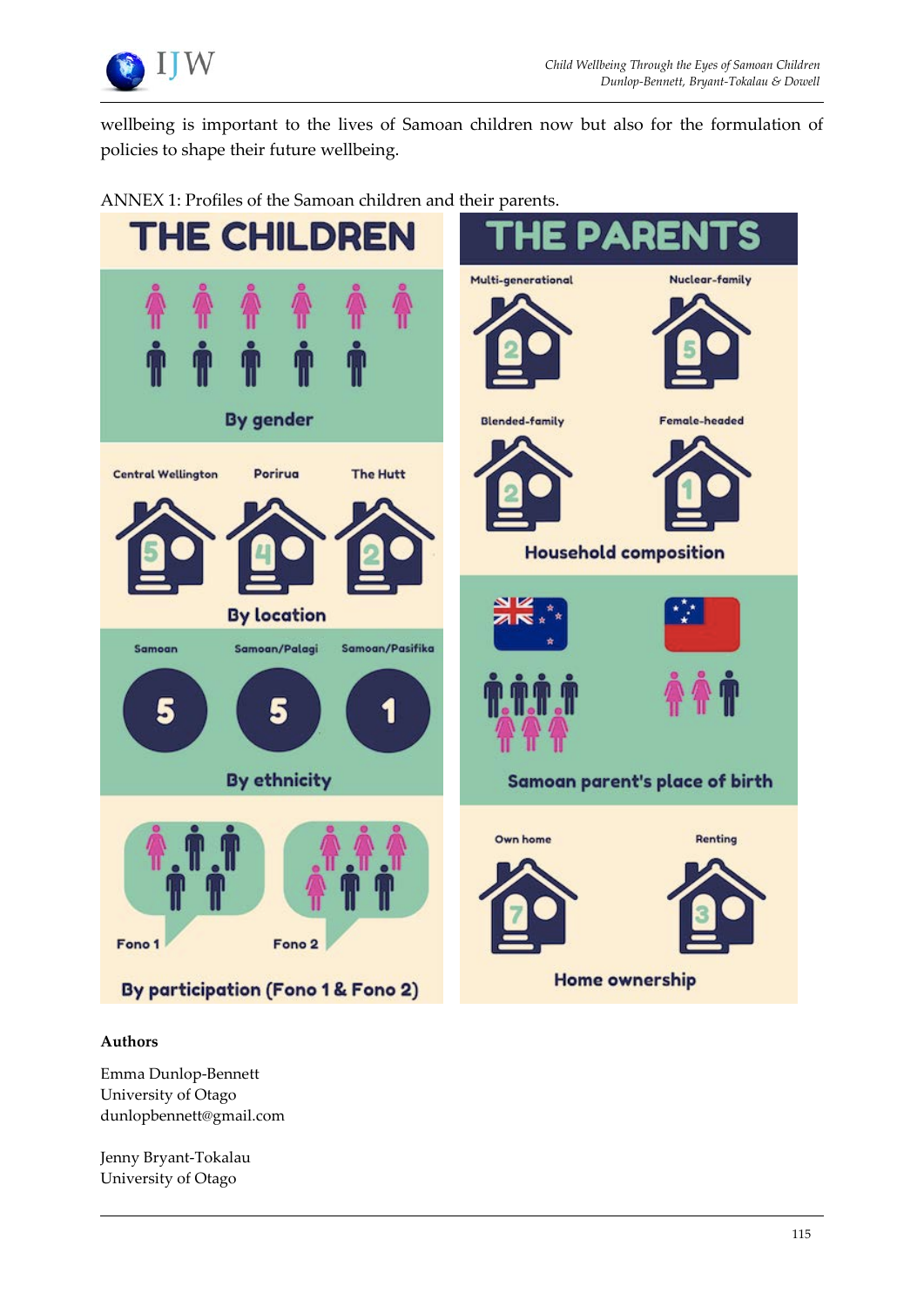

wellbeing is important to the lives of Samoan children now but also for the formulation of policies to shape their future wellbeing.



ANNEX 1: Profiles of the Samoan children and their parents.

#### **Authors**

Emma Dunlop-Bennett University of Otago dunlopbennett@gmail.com

Jenny Bryant-Tokalau University of Otago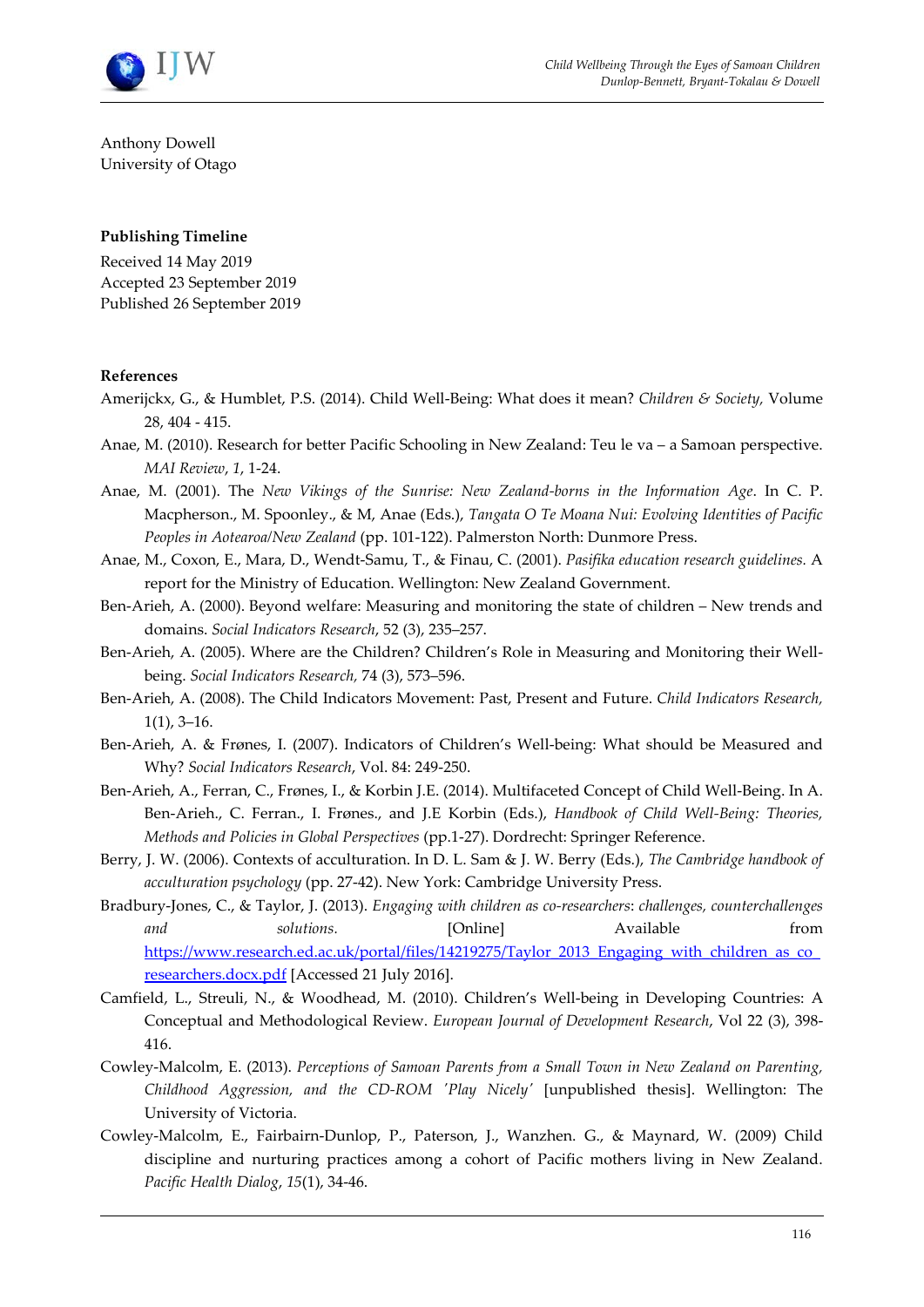

Anthony Dowell University of Otago

#### **Publishing Timeline**

Received 14 May 2019 Accepted 23 September 2019 Published 26 September 2019

#### **References**

- Amerijckx, G., & Humblet, P.S. (2014). Child Well-Being: What does it mean? *Children & Society,* Volume 28, 404 - 415.
- Anae, M. (2010). Research for better Pacific Schooling in New Zealand: Teu le va a Samoan perspective. *MAI Review*, *1*, 1-24.
- Anae, M. (2001). The *New Vikings of the Sunrise: New Zealand-borns in the Information Age*. In C. P. Macpherson., M. Spoonley., & M, Anae (Eds.), *Tangata O Te Moana Nui: Evolving Identities of Pacific Peoples in Aotearoa/New Zealand* (pp. 101-122). Palmerston North: Dunmore Press.
- Anae, M., Coxon, E., Mara, D., Wendt-Samu, T., & Finau, C. (2001). *Pasifika education research guidelines.* A report for the Ministry of Education. Wellington: New Zealand Government.
- Ben-Arieh, A. (2000). Beyond welfare: Measuring and monitoring the state of children New trends and domains. *Social Indicators Research*, 52 (3), 235–257.
- Ben-Arieh, A. (2005). Where are the Children? Children's Role in Measuring and Monitoring their Wellbeing. *Social Indicators Research,* 74 (3), 573–596.
- Ben-Arieh, A. (2008). The Child Indicators Movement: Past, Present and Future. *Child Indicators Research,*  1(1), 3–16.
- Ben-Arieh, A. & Frønes, I. (2007). Indicators of Children's Well-being: What should be Measured and Why? *Social Indicators Research*, Vol. 84: 249-250.
- Ben-Arieh, A., Ferran, C., Frønes, I., & Korbin J.E. (2014). Multifaceted Concept of Child Well-Being. In A. Ben-Arieh., C. Ferran., I. Frønes., and J.E Korbin (Eds.), *Handbook of Child Well-Being: Theories, Methods and Policies in Global Perspectives* (pp.1-27). Dordrecht: Springer Reference.
- Berry, J. W. (2006). Contexts of acculturation. In D. L. Sam & J. W. Berry (Eds.), *The Cambridge handbook of acculturation psychology* (pp. 27-42). New York: Cambridge University Press.
- Bradbury-Jones, C., & Taylor, J. (2013). *Engaging with children as co-researchers*: *challenges, counterchallenges and solutions.* [Online] Available from https://www.research.ed.ac.uk/portal/files/14219275/Taylor\_2013\_Engaging\_with\_children\_as\_co [researchers.docx.pdf](https://www.research.ed.ac.uk/portal/files/14219275/Taylor_2013_Engaging_with_children_as_co_researchers.docx.pdf) [Accessed 21 July 2016].
- Camfield, L., Streuli, N., & Woodhead, M. (2010). Children's Well-being in Developing Countries: A Conceptual and Methodological Review. *European Journal of Development Research*, Vol 22 (3), 398- 416.
- Cowley-Malcolm, E. (2013). *Perceptions of Samoan Parents from a Small Town in New Zealand on Parenting, Childhood Aggression, and the CD-ROM 'Play Nicely'* [unpublished thesis]. Wellington: The University of Victoria.
- Cowley-Malcolm, E., Fairbairn-Dunlop, P., Paterson, J., Wanzhen. G., & Maynard, W. (2009) Child discipline and nurturing practices among a cohort of Pacific mothers living in New Zealand. *Pacific Health Dialog*, *15*(1), 34-46.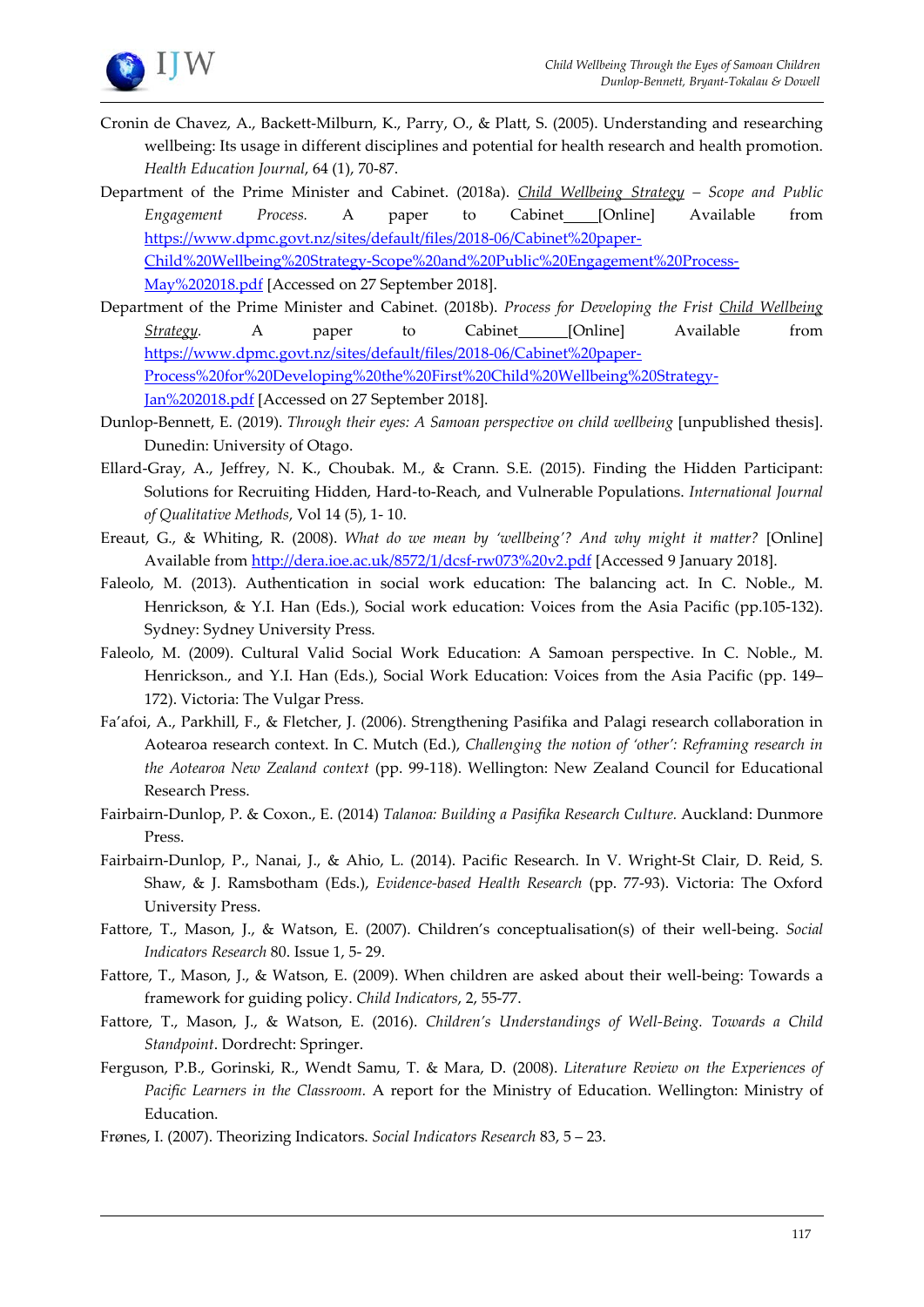

- Cronin de Chavez, A., Backett-Milburn, K., Parry, O., & Platt, S. (2005). Understanding and researching wellbeing: Its usage in different disciplines and potential for health research and health promotion. *Health Education Journal*, 64 (1), 70-87.
- Department of the Prime Minister and Cabinet. (2018a). *Child Wellbeing Strategy – Scope and Public Engagement Process.* A paper to Cabinet [Online] Available from [https://www.dpmc.govt.nz/sites/default/files/2018-06/Cabinet%20paper-](https://www.dpmc.govt.nz/sites/default/files/2018-06/Cabinet%20paper-Child%20Wellbeing%20Strategy-Scope%20and%20Public%20Engagement%20Process-May%202018.pdf)[Child%20Wellbeing%20Strategy-Scope%20and%20Public%20Engagement%20Process-](https://www.dpmc.govt.nz/sites/default/files/2018-06/Cabinet%20paper-Child%20Wellbeing%20Strategy-Scope%20and%20Public%20Engagement%20Process-May%202018.pdf)[May%202018.pdf](https://www.dpmc.govt.nz/sites/default/files/2018-06/Cabinet%20paper-Child%20Wellbeing%20Strategy-Scope%20and%20Public%20Engagement%20Process-May%202018.pdf) [Accessed on 27 September 2018].
- Department of the Prime Minister and Cabinet. (2018b). *Process for Developing the Frist Child Wellbeing Strategy.* A paper to Cabinet [Online] Available from [https://www.dpmc.govt.nz/sites/default/files/2018-06/Cabinet%20paper-](https://www.dpmc.govt.nz/sites/default/files/2018-06/Cabinet%20paper-Process%20for%20Developing%20the%20First%20Child%20Wellbeing%20Strategy-Jan%202018.pdf)[Process%20for%20Developing%20the%20First%20Child%20Wellbeing%20Strategy-](https://www.dpmc.govt.nz/sites/default/files/2018-06/Cabinet%20paper-Process%20for%20Developing%20the%20First%20Child%20Wellbeing%20Strategy-Jan%202018.pdf)[Jan%202018.pdf](https://www.dpmc.govt.nz/sites/default/files/2018-06/Cabinet%20paper-Process%20for%20Developing%20the%20First%20Child%20Wellbeing%20Strategy-Jan%202018.pdf) [Accessed on 27 September 2018].
- Dunlop-Bennett, E. (2019). *Through their eyes: A Samoan perspective on child wellbeing* [unpublished thesis]. Dunedin: University of Otago.
- Ellard-Gray, A., Jeffrey, N. K., Choubak. M., & Crann. S.E. (2015). Finding the Hidden Participant: Solutions for Recruiting Hidden, Hard-to-Reach, and Vulnerable Populations. *International Journal of Qualitative Methods*, Vol 14 (5), 1- 10.
- Ereaut, G., & Whiting, R. (2008). *What do we mean by 'wellbeing'? And why might it matter?* [Online] Available from <http://dera.ioe.ac.uk/8572/1/dcsf-rw073%20v2.pdf> [Accessed 9 January 2018].
- Faleolo, M. (2013). Authentication in social work education: The balancing act. In C. Noble., M. Henrickson, & Y.I. Han (Eds.), Social work education: Voices from the Asia Pacific (pp.105-132). Sydney: Sydney University Press.
- Faleolo, M. (2009). Cultural Valid Social Work Education: A Samoan perspective. In C. Noble., M. Henrickson., and Y.I. Han (Eds.), Social Work Education: Voices from the Asia Pacific (pp. 149– 172). Victoria: The Vulgar Press.
- Fa'afoi, A., Parkhill, F., & Fletcher, J. (2006). Strengthening Pasifika and Palagi research collaboration in Aotearoa research context. In C. Mutch (Ed.), *Challenging the notion of 'other': Reframing research in the Aotearoa New Zealand context* (pp. 99-118). Wellington: New Zealand Council for Educational Research Press.
- Fairbairn-Dunlop, P. & Coxon., E. (2014) *Talanoa: Building a Pasifika Research Culture.* Auckland: Dunmore Press.
- Fairbairn-Dunlop, P., Nanai, J., & Ahio, L. (2014). Pacific Research. In V. Wright-St Clair, D. Reid, S. Shaw, & J. Ramsbotham (Eds.), *Evidence-based Health Research* (pp. 77-93). Victoria: The Oxford University Press.
- Fattore, T., Mason, J., & Watson, E. (2007). Children's conceptualisation(s) of their well-being. *Social Indicators Research* 80. Issue 1, 5- 29.
- Fattore, T., Mason, J., & Watson, E. (2009). When children are asked about their well-being: Towards a framework for guiding policy. *Child Indicators*, 2, 55-77.
- Fattore, T., Mason, J., & Watson, E. (2016). *Children's Understandings of Well-Being. Towards a Child Standpoint*. Dordrecht: Springer.
- Ferguson, P.B., Gorinski, R., Wendt Samu, T. & Mara, D. (2008). *Literature Review on the Experiences of Pacific Learners in the Classroom.* A report for the Ministry of Education. Wellington: Ministry of Education.
- Frønes, I. (2007). Theorizing Indicators. *Social Indicators Research* 83, 5 23.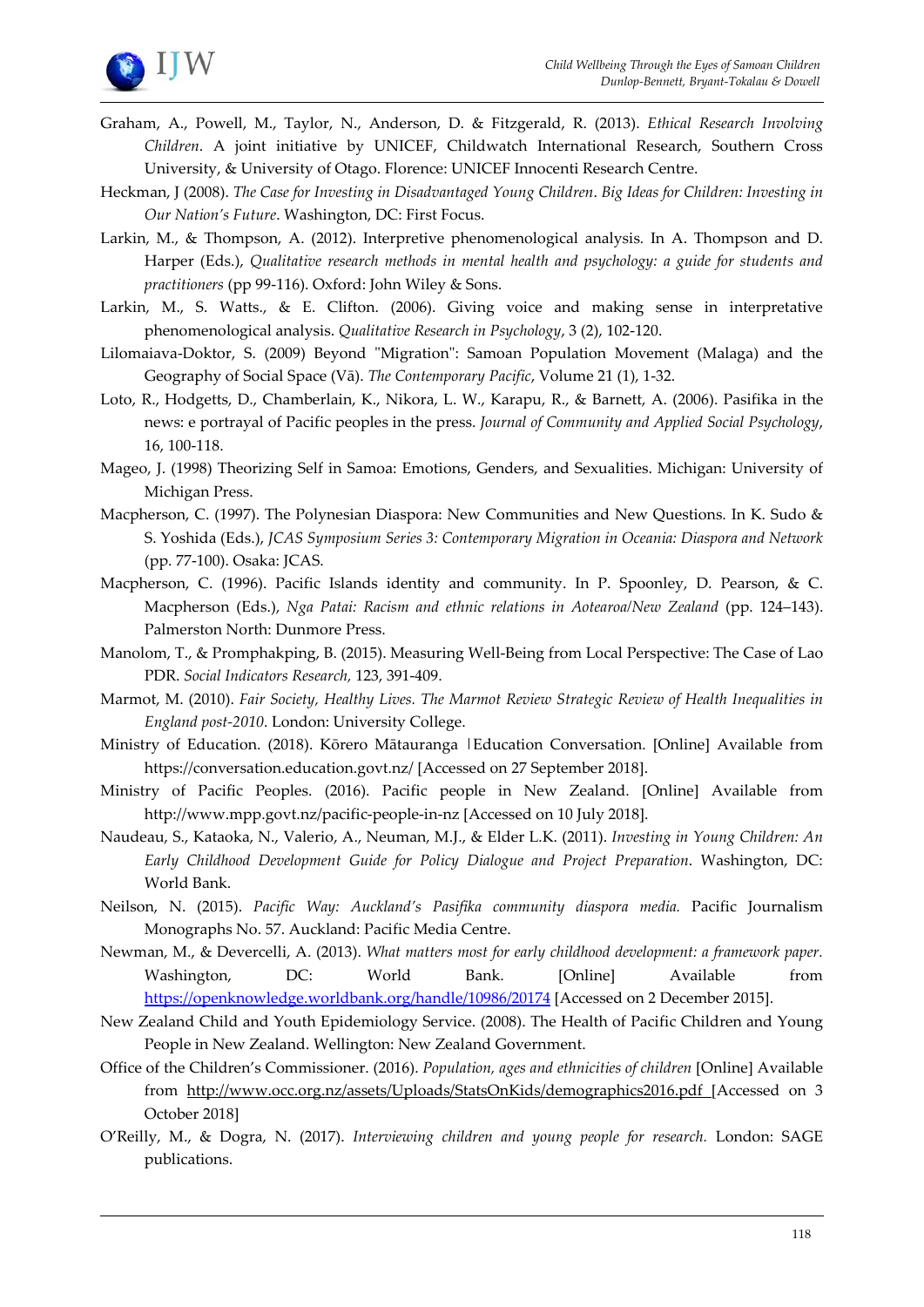

- Graham, A., Powell, M., Taylor, N., Anderson, D. & Fitzgerald, R. (2013). *Ethical Research Involving Children*. A joint initiative by UNICEF, Childwatch International Research, Southern Cross University, & University of Otago. Florence: UNICEF Innocenti Research Centre.
- Heckman, J (2008). *The Case for Investing in Disadvantaged Young Children*. *Big Ideas for Children: Investing in Our Nation's Future*. Washington, DC: First Focus.
- Larkin, M., & Thompson, A. (2012). Interpretive phenomenological analysis*.* In A. Thompson and D. Harper (Eds.), *Qualitative research methods in mental health and psychology: a guide for students and practitioners* (pp 99-116). Oxford: John Wiley & Sons.
- Larkin, M., S. Watts., & E. Clifton. (2006). Giving voice and making sense in interpretative phenomenological analysis. *Qualitative Research in Psychology*, 3 (2), 102-120.
- Lilomaiava-Doktor, S. (2009) Beyond "Migration": Samoan Population Movement (Malaga) and the Geography of Social Space (Vā). *The Contemporary Pacific*, Volume 21 (1), 1-32.
- Loto, R., Hodgetts, D., Chamberlain, K., Nikora, L. W., Karapu, R., & Barnett, A. (2006). Pasifika in the news: e portrayal of Pacific peoples in the press. *Journal of Community and Applied Social Psychology*, 16, 100-118.
- Mageo, J. (1998) Theorizing Self in Samoa: Emotions, Genders, and Sexualities. Michigan: University of Michigan Press.
- Macpherson, C. (1997). The Polynesian Diaspora: New Communities and New Questions. In K. Sudo & S. Yoshida (Eds.), *JCAS Symposium Series 3: Contemporary Migration in Oceania: Diaspora and Network*  (pp. 77-100). Osaka: JCAS.
- Macpherson, C. (1996). Pacific Islands identity and community. In P. Spoonley, D. Pearson, & C. Macpherson (Eds.), *Nga Patai: Racism and ethnic relations in Aotearoa/New Zealand* (pp. 124–143). Palmerston North: Dunmore Press.
- Manolom, T., & Promphakping, B. (2015). Measuring Well-Being from Local Perspective: The Case of Lao PDR. *Social Indicators Research,* 123, 391-409.
- Marmot, M. (2010). *Fair Society, Healthy Lives. The Marmot Review Strategic Review of Health Inequalities in England post-2010*. London: University College.
- Ministry of Education. (2018). Kōrero Mātauranga |Education Conversation. [Online] Available from https://conversation.education.govt.nz/ [Accessed on 27 September 2018].
- Ministry of Pacific Peoples. (2016). Pacific people in New Zealand. [Online] Available from http://www.mpp.govt.nz/pacific-people-in-nz [Accessed on 10 July 2018].
- Naudeau, S., Kataoka, N., Valerio, A., Neuman, M.J., & Elder L.K. (2011). *Investing in Young Children: An Early Childhood Development Guide for Policy Dialogue and Project Preparation*. Washington, DC: World Bank.
- Neilson, N. (2015). *Pacific Way: Auckland's Pasifika community diaspora media.* Pacific Journalism Monographs No. 57. Auckland: Pacific Media Centre.
- Newman, M., & Devercelli, A. (2013). *What matters most for early childhood development: a framework paper.* Washington, DC: World Bank. [Online] Available from <https://openknowledge.worldbank.org/handle/10986/20174> [Accessed on 2 December 2015].
- New Zealand Child and Youth Epidemiology Service. (2008). The Health of Pacific Children and Young People in New Zealand. Wellington: New Zealand Government.
- Office of the Children's Commissioner. (2016). *Population, ages and ethnicities of children* [Online] Available from http://www.occ.org.nz/assets/Uploads/StatsOnKids/demographics2016.pdf [Accessed on 3 October 2018]
- O'Reilly, M., & Dogra, N. (2017). *Interviewing children and young people for research.* London: SAGE publications.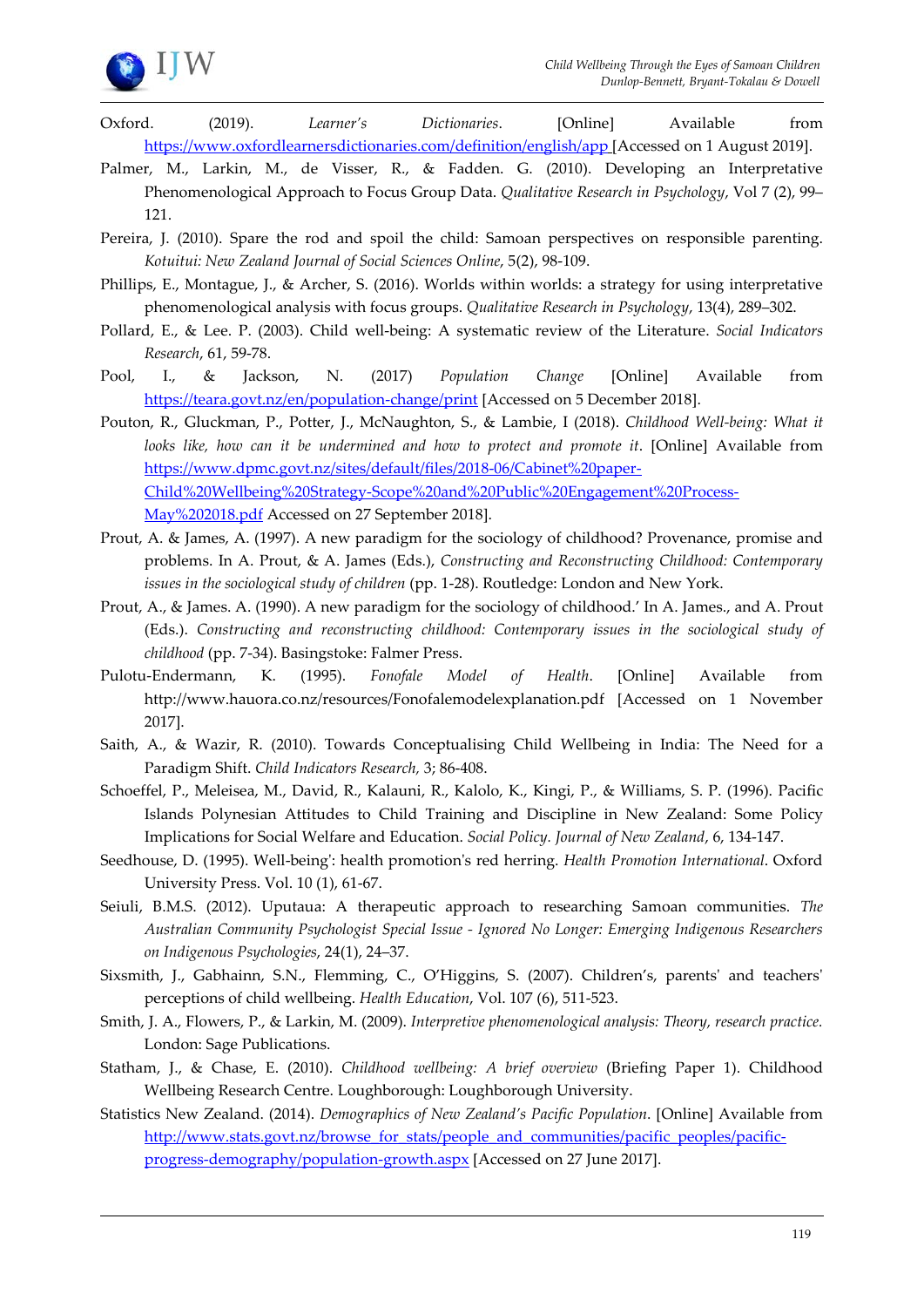

- Oxford. (2019). *Learner's Dictionaries*. [Online] Available from <https://www.oxfordlearnersdictionaries.com/definition/english/app> [Accessed on 1 August 2019].
- Palmer, M., Larkin, M., de Visser, R., & Fadden. G. (2010). Developing an Interpretative Phenomenological Approach to Focus Group Data. *Qualitative Research in Psychology*, Vol 7 (2), 99– 121.
- Pereira, J. (2010). Spare the rod and spoil the child: Samoan perspectives on responsible parenting. *Kotuitui: New Zealand Journal of Social Sciences Online*, 5(2), 98-109.
- Phillips, E., Montague, J., & Archer, S. (2016). Worlds within worlds: a strategy for using interpretative phenomenological analysis with focus groups. *Qualitative Research in Psychology*, 13(4), 289–302.
- Pollard, E., & Lee. P. (2003). Child well-being: A systematic review of the Literature. *Social Indicators Research*, 61, 59-78.
- Pool, I., & Jackson, N. (2017) *Population Change* [Online] Available from <https://teara.govt.nz/en/population-change/print> [Accessed on 5 December 2018].
- Pouton, R., Gluckman, P., Potter, J., McNaughton, S., & Lambie, I (2018). *Childhood Well-being: What it looks like, how can it be undermined and how to protect and promote it*. [Online] Available from [https://www.dpmc.govt.nz/sites/default/files/2018-06/Cabinet%20paper-](https://www.dpmc.govt.nz/sites/default/files/2018-06/Cabinet%20paper-Child%20Wellbeing%20Strategy-Scope%20and%20Public%20Engagement%20Process-May%202018.pdf)[Child%20Wellbeing%20Strategy-Scope%20and%20Public%20Engagement%20Process-](https://www.dpmc.govt.nz/sites/default/files/2018-06/Cabinet%20paper-Child%20Wellbeing%20Strategy-Scope%20and%20Public%20Engagement%20Process-May%202018.pdf)[May%202018.pdf](https://www.dpmc.govt.nz/sites/default/files/2018-06/Cabinet%20paper-Child%20Wellbeing%20Strategy-Scope%20and%20Public%20Engagement%20Process-May%202018.pdf) Accessed on 27 September 2018].
- Prout, A. & James, A. (1997). A new paradigm for the sociology of childhood? Provenance, promise and problems. In A. Prout, & A. James (Eds.), *Constructing and Reconstructing Childhood: Contemporary issues in the sociological study of children* (pp. 1-28). Routledge: London and New York.
- Prout, A., & James. A. (1990). A new paradigm for the sociology of childhood.' In A. James., and A. Prout (Eds.). *Constructing and reconstructing childhood: Contemporary issues in the sociological study of childhood* (pp. 7-34). Basingstoke: Falmer Press.
- Pulotu-Endermann, K. (1995). *Fonofale Model of Health*. [Online] Available from http://www.hauora.co.nz/resources/Fonofalemodelexplanation.pdf [Accessed on 1 November 2017].
- Saith, A., & Wazir, R. (2010). Towards Conceptualising Child Wellbeing in India: The Need for a Paradigm Shift. *Child Indicators Research,* 3; 86-408.
- Schoeffel, P., Meleisea, M., David, R., Kalauni, R., Kalolo, K., Kingi, P., & Williams, S. P. (1996). Pacific Islands Polynesian Attitudes to Child Training and Discipline in New Zealand: Some Policy Implications for Social Welfare and Education. *Social Policy. Journal of New Zealand*, 6, 134-147.
- Seedhouse, D. (1995). Well-being': health promotion's red herring. *Health Promotion International*. Oxford University Press. Vol. 10 (1), 61-67.
- Seiuli, B.M.S. (2012). Uputaua: A therapeutic approach to researching Samoan communities. *The Australian Community Psychologist Special Issue - Ignored No Longer: Emerging Indigenous Researchers on Indigenous Psychologies*, 24(1), 24–37.
- Sixsmith, J., Gabhainn, S.N., Flemming, C., O'Higgins, S. (2007). Children's, parents' and teachers' perceptions of child wellbeing. *Health Education*, Vol. 107 (6), 511-523.
- Smith, J. A., Flowers, P., & Larkin, M. (2009). *Interpretive phenomenological analysis: Theory, research practice.* London: Sage Publications.
- Statham, J., & Chase, E. (2010). *Childhood wellbeing: A brief overview* (Briefing Paper 1). Childhood Wellbeing Research Centre. Loughborough: Loughborough University.
- Statistics New Zealand. (2014). *Demographics of New Zealand's Pacific Population*. [Online] Available from [http://www.stats.govt.nz/browse\\_for\\_stats/people\\_and\\_communities/pacific\\_peoples/pacific](http://www.stats.govt.nz/browse_for_stats/people_and_communities/pacific_peoples/pacific-progress-demography/population-growth.aspx)[progress-demography/population-growth.aspx](http://www.stats.govt.nz/browse_for_stats/people_and_communities/pacific_peoples/pacific-progress-demography/population-growth.aspx) [Accessed on 27 June 2017].